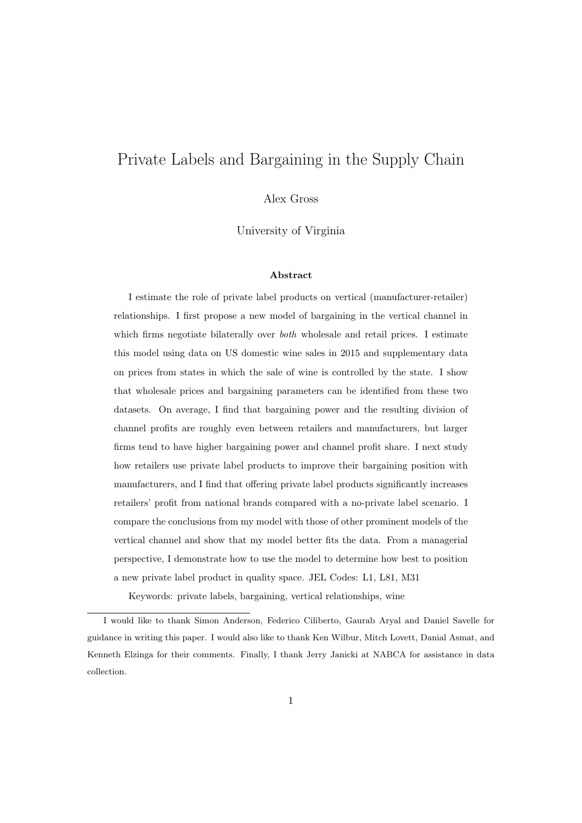# Private Labels and Bargaining in the Supply Chain

Alex Gross

University of Virginia

#### Abstract

I estimate the role of private label products on vertical (manufacturer-retailer) relationships. I first propose a new model of bargaining in the vertical channel in which firms negotiate bilaterally over *both* wholesale and retail prices. I estimate this model using data on US domestic wine sales in 2015 and supplementary data on prices from states in which the sale of wine is controlled by the state. I show that wholesale prices and bargaining parameters can be identified from these two datasets. On average, I find that bargaining power and the resulting division of channel profits are roughly even between retailers and manufacturers, but larger firms tend to have higher bargaining power and channel profit share. I next study how retailers use private label products to improve their bargaining position with manufacturers, and I find that offering private label products significantly increases retailers' profit from national brands compared with a no-private label scenario. I compare the conclusions from my model with those of other prominent models of the vertical channel and show that my model better fits the data. From a managerial perspective, I demonstrate how to use the model to determine how best to position a new private label product in quality space. JEL Codes: L1, L81, M31

Keywords: private labels, bargaining, vertical relationships, wine

I would like to thank Simon Anderson, Federico Ciliberto, Gaurab Aryal and Daniel Savelle for guidance in writing this paper. I would also like to thank Ken Wilbur, Mitch Lovett, Danial Asmat, and Kenneth Elzinga for their comments. Finally, I thank Jerry Janicki at NABCA for assistance in data collection.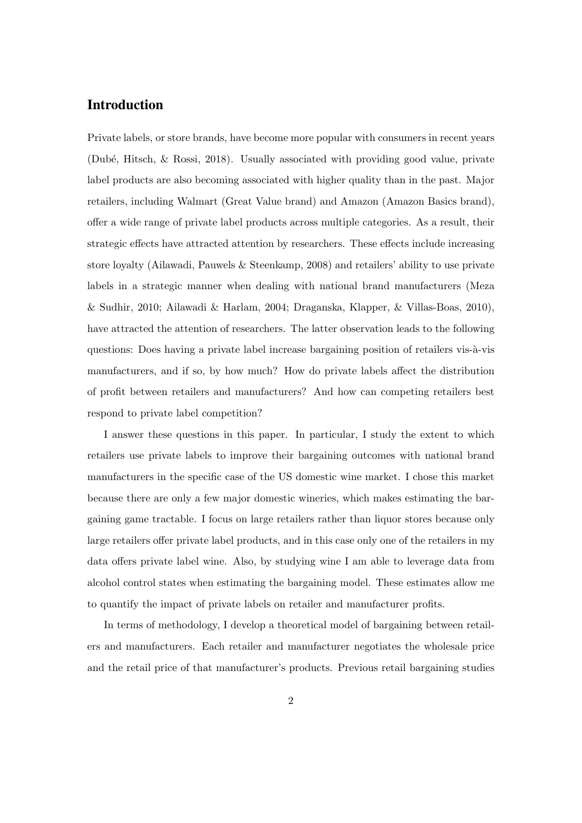## Introduction

Private labels, or store brands, have become more popular with consumers in recent years (Dub´e, Hitsch, & Rossi, 2018). Usually associated with providing good value, private label products are also becoming associated with higher quality than in the past. Major retailers, including Walmart (Great Value brand) and Amazon (Amazon Basics brand), offer a wide range of private label products across multiple categories. As a result, their strategic effects have attracted attention by researchers. These effects include increasing store loyalty (Ailawadi, Pauwels & Steenkamp, 2008) and retailers' ability to use private labels in a strategic manner when dealing with national brand manufacturers (Meza & Sudhir, 2010; Ailawadi & Harlam, 2004; Draganska, Klapper, & Villas-Boas, 2010), have attracted the attention of researchers. The latter observation leads to the following questions: Does having a private label increase bargaining position of retailers vis- $\lambda$ -vis manufacturers, and if so, by how much? How do private labels affect the distribution of profit between retailers and manufacturers? And how can competing retailers best respond to private label competition?

I answer these questions in this paper. In particular, I study the extent to which retailers use private labels to improve their bargaining outcomes with national brand manufacturers in the specific case of the US domestic wine market. I chose this market because there are only a few major domestic wineries, which makes estimating the bargaining game tractable. I focus on large retailers rather than liquor stores because only large retailers offer private label products, and in this case only one of the retailers in my data offers private label wine. Also, by studying wine I am able to leverage data from alcohol control states when estimating the bargaining model. These estimates allow me to quantify the impact of private labels on retailer and manufacturer profits.

In terms of methodology, I develop a theoretical model of bargaining between retailers and manufacturers. Each retailer and manufacturer negotiates the wholesale price and the retail price of that manufacturer's products. Previous retail bargaining studies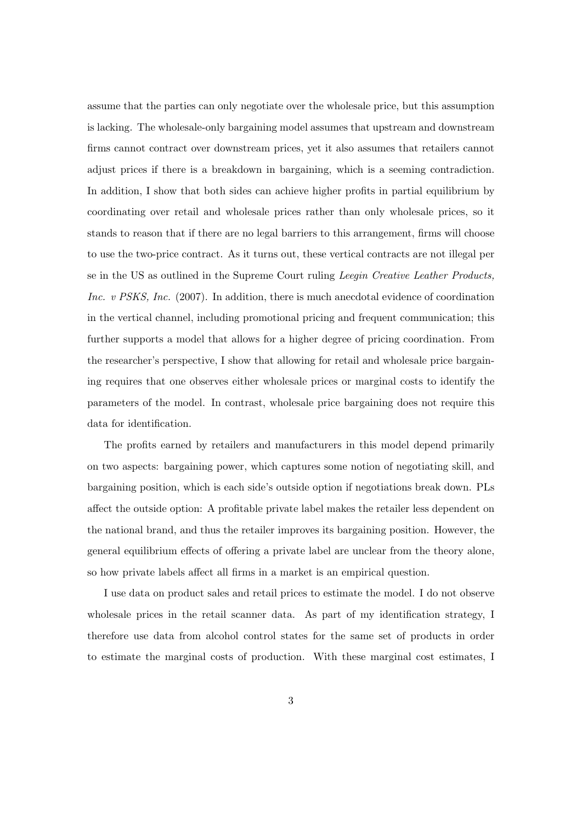assume that the parties can only negotiate over the wholesale price, but this assumption is lacking. The wholesale-only bargaining model assumes that upstream and downstream firms cannot contract over downstream prices, yet it also assumes that retailers cannot adjust prices if there is a breakdown in bargaining, which is a seeming contradiction. In addition, I show that both sides can achieve higher profits in partial equilibrium by coordinating over retail and wholesale prices rather than only wholesale prices, so it stands to reason that if there are no legal barriers to this arrangement, firms will choose to use the two-price contract. As it turns out, these vertical contracts are not illegal per se in the US as outlined in the Supreme Court ruling *Leegin Creative Leather Products*, Inc. v PSKS, Inc. (2007). In addition, there is much anecdotal evidence of coordination in the vertical channel, including promotional pricing and frequent communication; this further supports a model that allows for a higher degree of pricing coordination. From the researcher's perspective, I show that allowing for retail and wholesale price bargaining requires that one observes either wholesale prices or marginal costs to identify the parameters of the model. In contrast, wholesale price bargaining does not require this data for identification.

The profits earned by retailers and manufacturers in this model depend primarily on two aspects: bargaining power, which captures some notion of negotiating skill, and bargaining position, which is each side's outside option if negotiations break down. PLs affect the outside option: A profitable private label makes the retailer less dependent on the national brand, and thus the retailer improves its bargaining position. However, the general equilibrium effects of offering a private label are unclear from the theory alone, so how private labels affect all firms in a market is an empirical question.

I use data on product sales and retail prices to estimate the model. I do not observe wholesale prices in the retail scanner data. As part of my identification strategy, I therefore use data from alcohol control states for the same set of products in order to estimate the marginal costs of production. With these marginal cost estimates, I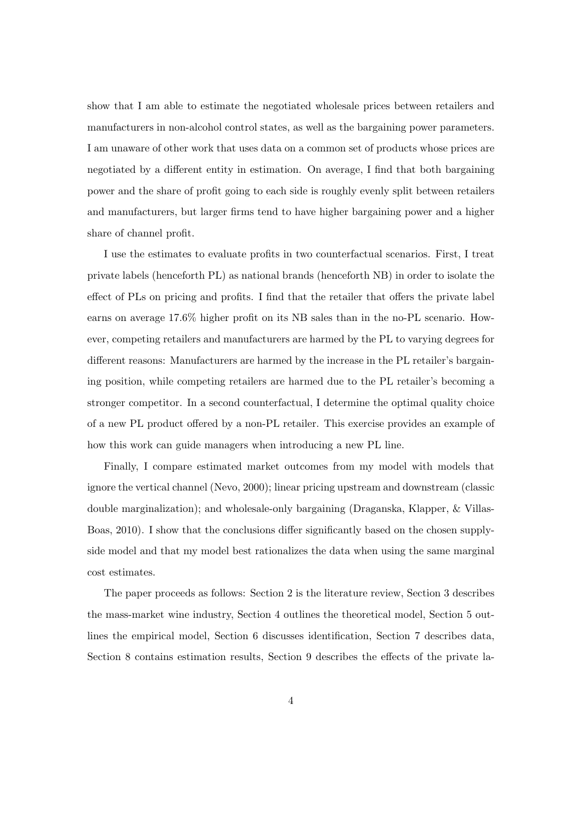show that I am able to estimate the negotiated wholesale prices between retailers and manufacturers in non-alcohol control states, as well as the bargaining power parameters. I am unaware of other work that uses data on a common set of products whose prices are negotiated by a different entity in estimation. On average, I find that both bargaining power and the share of profit going to each side is roughly evenly split between retailers and manufacturers, but larger firms tend to have higher bargaining power and a higher share of channel profit.

I use the estimates to evaluate profits in two counterfactual scenarios. First, I treat private labels (henceforth PL) as national brands (henceforth NB) in order to isolate the effect of PLs on pricing and profits. I find that the retailer that offers the private label earns on average 17.6% higher profit on its NB sales than in the no-PL scenario. However, competing retailers and manufacturers are harmed by the PL to varying degrees for different reasons: Manufacturers are harmed by the increase in the PL retailer's bargaining position, while competing retailers are harmed due to the PL retailer's becoming a stronger competitor. In a second counterfactual, I determine the optimal quality choice of a new PL product offered by a non-PL retailer. This exercise provides an example of how this work can guide managers when introducing a new PL line.

Finally, I compare estimated market outcomes from my model with models that ignore the vertical channel (Nevo, 2000); linear pricing upstream and downstream (classic double marginalization); and wholesale-only bargaining (Draganska, Klapper, & Villas-Boas, 2010). I show that the conclusions differ significantly based on the chosen supplyside model and that my model best rationalizes the data when using the same marginal cost estimates.

The paper proceeds as follows: Section 2 is the literature review, Section 3 describes the mass-market wine industry, Section 4 outlines the theoretical model, Section 5 outlines the empirical model, Section 6 discusses identification, Section 7 describes data, Section 8 contains estimation results, Section 9 describes the effects of the private la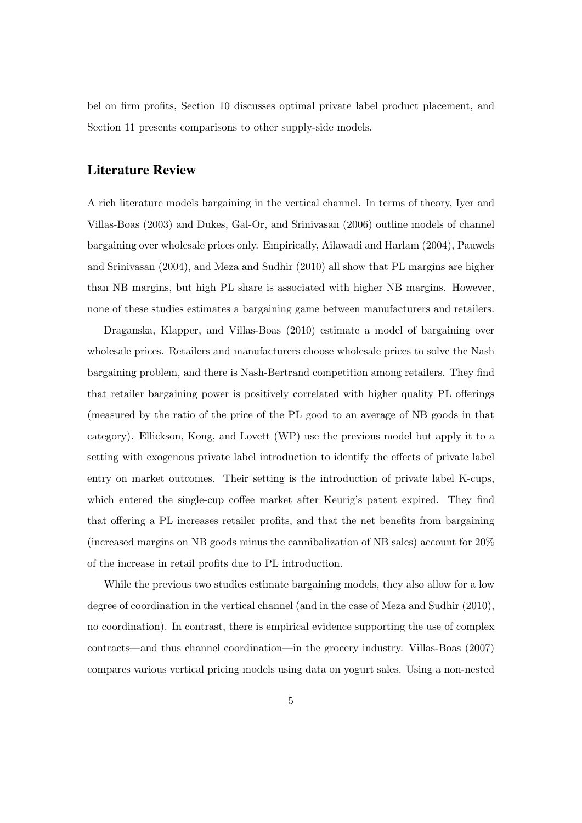bel on firm profits, Section 10 discusses optimal private label product placement, and Section 11 presents comparisons to other supply-side models.

## Literature Review

A rich literature models bargaining in the vertical channel. In terms of theory, Iyer and Villas-Boas (2003) and Dukes, Gal-Or, and Srinivasan (2006) outline models of channel bargaining over wholesale prices only. Empirically, Ailawadi and Harlam (2004), Pauwels and Srinivasan (2004), and Meza and Sudhir (2010) all show that PL margins are higher than NB margins, but high PL share is associated with higher NB margins. However, none of these studies estimates a bargaining game between manufacturers and retailers.

Draganska, Klapper, and Villas-Boas (2010) estimate a model of bargaining over wholesale prices. Retailers and manufacturers choose wholesale prices to solve the Nash bargaining problem, and there is Nash-Bertrand competition among retailers. They find that retailer bargaining power is positively correlated with higher quality PL offerings (measured by the ratio of the price of the PL good to an average of NB goods in that category). Ellickson, Kong, and Lovett (WP) use the previous model but apply it to a setting with exogenous private label introduction to identify the effects of private label entry on market outcomes. Their setting is the introduction of private label K-cups, which entered the single-cup coffee market after Keurig's patent expired. They find that offering a PL increases retailer profits, and that the net benefits from bargaining (increased margins on NB goods minus the cannibalization of NB sales) account for 20% of the increase in retail profits due to PL introduction.

While the previous two studies estimate bargaining models, they also allow for a low degree of coordination in the vertical channel (and in the case of Meza and Sudhir (2010), no coordination). In contrast, there is empirical evidence supporting the use of complex contracts—and thus channel coordination—in the grocery industry. Villas-Boas (2007) compares various vertical pricing models using data on yogurt sales. Using a non-nested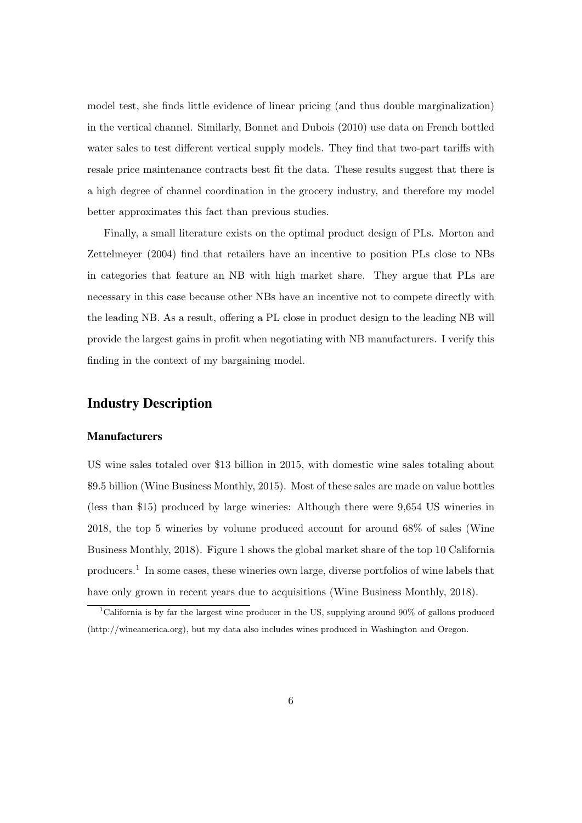model test, she finds little evidence of linear pricing (and thus double marginalization) in the vertical channel. Similarly, Bonnet and Dubois (2010) use data on French bottled water sales to test different vertical supply models. They find that two-part tariffs with resale price maintenance contracts best fit the data. These results suggest that there is a high degree of channel coordination in the grocery industry, and therefore my model better approximates this fact than previous studies.

Finally, a small literature exists on the optimal product design of PLs. Morton and Zettelmeyer (2004) find that retailers have an incentive to position PLs close to NBs in categories that feature an NB with high market share. They argue that PLs are necessary in this case because other NBs have an incentive not to compete directly with the leading NB. As a result, offering a PL close in product design to the leading NB will provide the largest gains in profit when negotiating with NB manufacturers. I verify this finding in the context of my bargaining model.

### Industry Description

#### Manufacturers

US wine sales totaled over \$13 billion in 2015, with domestic wine sales totaling about \$9.5 billion (Wine Business Monthly, 2015). Most of these sales are made on value bottles (less than \$15) produced by large wineries: Although there were 9,654 US wineries in 2018, the top 5 wineries by volume produced account for around 68% of sales (Wine Business Monthly, 2018). Figure 1 shows the global market share of the top 10 California producers.<sup>1</sup> In some cases, these wineries own large, diverse portfolios of wine labels that have only grown in recent years due to acquisitions (Wine Business Monthly, 2018).

<sup>1</sup>California is by far the largest wine producer in the US, supplying around 90% of gallons produced (http://wineamerica.org), but my data also includes wines produced in Washington and Oregon.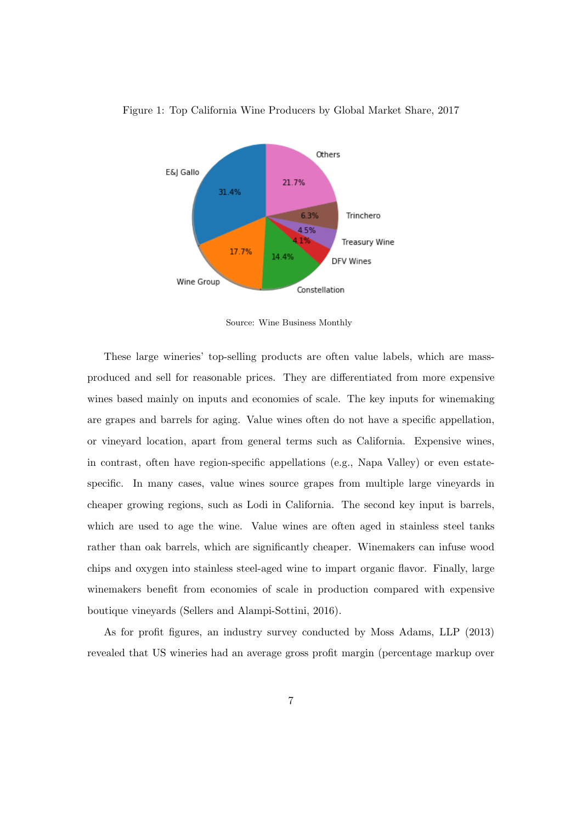

Figure 1: Top California Wine Producers by Global Market Share, 2017

Source: Wine Business Monthly

These large wineries' top-selling products are often value labels, which are massproduced and sell for reasonable prices. They are differentiated from more expensive wines based mainly on inputs and economies of scale. The key inputs for winemaking are grapes and barrels for aging. Value wines often do not have a specific appellation, or vineyard location, apart from general terms such as California. Expensive wines, in contrast, often have region-specific appellations (e.g., Napa Valley) or even estatespecific. In many cases, value wines source grapes from multiple large vineyards in cheaper growing regions, such as Lodi in California. The second key input is barrels, which are used to age the wine. Value wines are often aged in stainless steel tanks rather than oak barrels, which are significantly cheaper. Winemakers can infuse wood chips and oxygen into stainless steel-aged wine to impart organic flavor. Finally, large winemakers benefit from economies of scale in production compared with expensive boutique vineyards (Sellers and Alampi-Sottini, 2016).

As for profit figures, an industry survey conducted by Moss Adams, LLP (2013) revealed that US wineries had an average gross profit margin (percentage markup over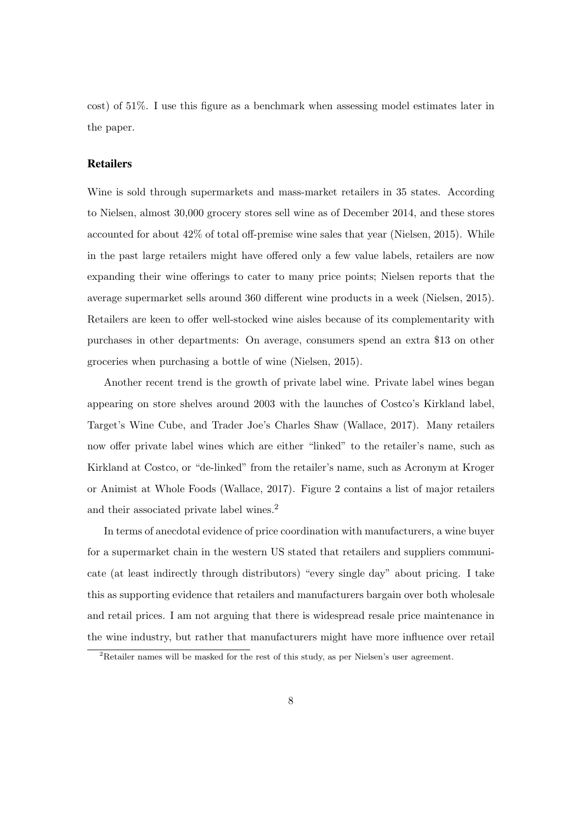cost) of 51%. I use this figure as a benchmark when assessing model estimates later in the paper.

#### **Retailers**

Wine is sold through supermarkets and mass-market retailers in 35 states. According to Nielsen, almost 30,000 grocery stores sell wine as of December 2014, and these stores accounted for about 42% of total off-premise wine sales that year (Nielsen, 2015). While in the past large retailers might have offered only a few value labels, retailers are now expanding their wine offerings to cater to many price points; Nielsen reports that the average supermarket sells around 360 different wine products in a week (Nielsen, 2015). Retailers are keen to offer well-stocked wine aisles because of its complementarity with purchases in other departments: On average, consumers spend an extra \$13 on other groceries when purchasing a bottle of wine (Nielsen, 2015).

Another recent trend is the growth of private label wine. Private label wines began appearing on store shelves around 2003 with the launches of Costco's Kirkland label, Target's Wine Cube, and Trader Joe's Charles Shaw (Wallace, 2017). Many retailers now offer private label wines which are either "linked" to the retailer's name, such as Kirkland at Costco, or "de-linked" from the retailer's name, such as Acronym at Kroger or Animist at Whole Foods (Wallace, 2017). Figure 2 contains a list of major retailers and their associated private label wines.<sup>2</sup>

In terms of anecdotal evidence of price coordination with manufacturers, a wine buyer for a supermarket chain in the western US stated that retailers and suppliers communicate (at least indirectly through distributors) "every single day" about pricing. I take this as supporting evidence that retailers and manufacturers bargain over both wholesale and retail prices. I am not arguing that there is widespread resale price maintenance in the wine industry, but rather that manufacturers might have more influence over retail

<sup>2</sup>Retailer names will be masked for the rest of this study, as per Nielsen's user agreement.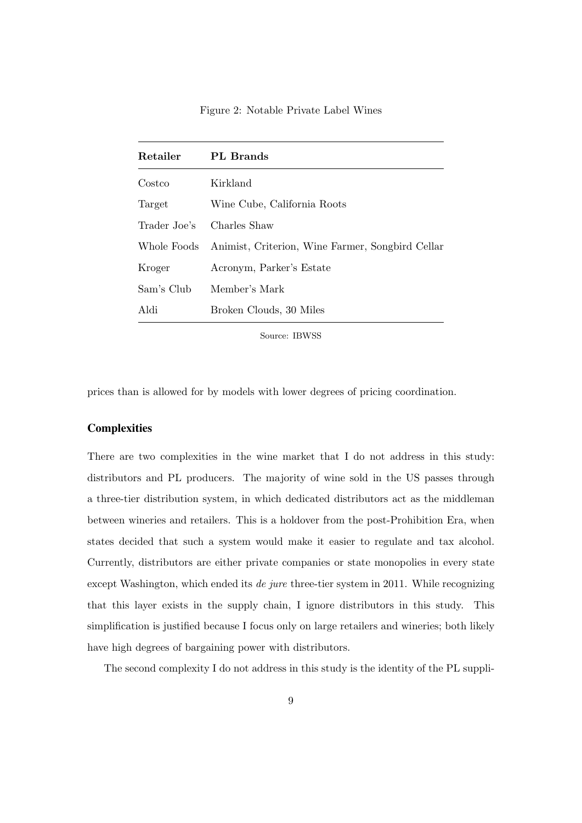Figure 2: Notable Private Label Wines

| Retailer     | PL Brands                                        |
|--------------|--------------------------------------------------|
| Costco       | Kirkland                                         |
| Target       | Wine Cube, California Roots                      |
| Trader Joe's | Charles Shaw                                     |
| Whole Foods  | Animist, Criterion, Wine Farmer, Songbird Cellar |
| Kroger       | Acronym, Parker's Estate                         |
| Sam's Club   | Member's Mark                                    |
| Aldi         | Broken Clouds, 30 Miles                          |

Source: IBWSS

prices than is allowed for by models with lower degrees of pricing coordination.

#### **Complexities**

There are two complexities in the wine market that I do not address in this study: distributors and PL producers. The majority of wine sold in the US passes through a three-tier distribution system, in which dedicated distributors act as the middleman between wineries and retailers. This is a holdover from the post-Prohibition Era, when states decided that such a system would make it easier to regulate and tax alcohol. Currently, distributors are either private companies or state monopolies in every state except Washington, which ended its *de jure* three-tier system in 2011. While recognizing that this layer exists in the supply chain, I ignore distributors in this study. This simplification is justified because I focus only on large retailers and wineries; both likely have high degrees of bargaining power with distributors.

The second complexity I do not address in this study is the identity of the PL suppli-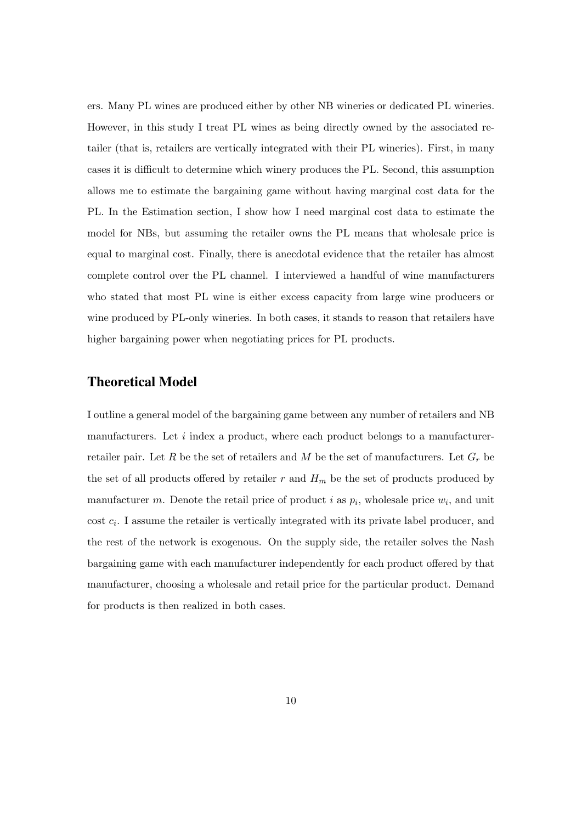ers. Many PL wines are produced either by other NB wineries or dedicated PL wineries. However, in this study I treat PL wines as being directly owned by the associated retailer (that is, retailers are vertically integrated with their PL wineries). First, in many cases it is difficult to determine which winery produces the PL. Second, this assumption allows me to estimate the bargaining game without having marginal cost data for the PL. In the Estimation section, I show how I need marginal cost data to estimate the model for NBs, but assuming the retailer owns the PL means that wholesale price is equal to marginal cost. Finally, there is anecdotal evidence that the retailer has almost complete control over the PL channel. I interviewed a handful of wine manufacturers who stated that most PL wine is either excess capacity from large wine producers or wine produced by PL-only wineries. In both cases, it stands to reason that retailers have higher bargaining power when negotiating prices for PL products.

## Theoretical Model

I outline a general model of the bargaining game between any number of retailers and NB manufacturers. Let i index a product, where each product belongs to a manufacturerretailer pair. Let R be the set of retailers and M be the set of manufacturers. Let  $G_r$  be the set of all products offered by retailer r and  $H_m$  be the set of products produced by manufacturer m. Denote the retail price of product i as  $p_i$ , wholesale price  $w_i$ , and unit  $\cos t$   $c_i$ . I assume the retailer is vertically integrated with its private label producer, and the rest of the network is exogenous. On the supply side, the retailer solves the Nash bargaining game with each manufacturer independently for each product offered by that manufacturer, choosing a wholesale and retail price for the particular product. Demand for products is then realized in both cases.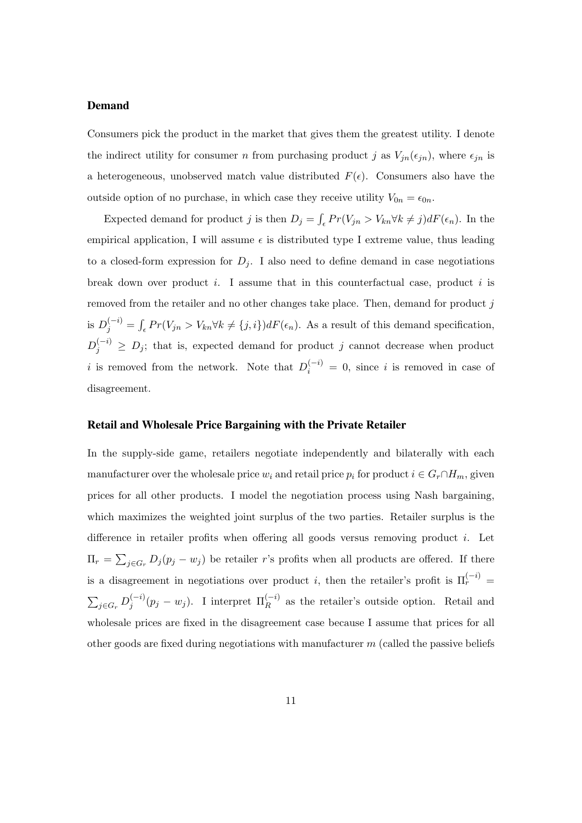### Demand

Consumers pick the product in the market that gives them the greatest utility. I denote the indirect utility for consumer n from purchasing product j as  $V_{jn}(\epsilon_{jn})$ , where  $\epsilon_{jn}$  is a heterogeneous, unobserved match value distributed  $F(\epsilon)$ . Consumers also have the outside option of no purchase, in which case they receive utility  $V_{0n} = \epsilon_{0n}$ .

Expected demand for product j is then  $D_j = \int_{\epsilon} Pr(V_{jn} > V_{kn} \forall k \neq j) dF(\epsilon_n)$ . In the empirical application, I will assume  $\epsilon$  is distributed type I extreme value, thus leading to a closed-form expression for  $D_i$ . I also need to define demand in case negotiations break down over product  $i$ . I assume that in this counterfactual case, product  $i$  is removed from the retailer and no other changes take place. Then, demand for product  $j$ is  $D_j^{(-i)} = \int_{\epsilon} Pr(V_{jn} > V_{kn} \forall k \neq \{j, i\}) dF(\epsilon_n)$ . As a result of this demand specification,  $D_j^{(-i)} \geq D_j$ ; that is, expected demand for product j cannot decrease when product i is removed from the network. Note that  $D_i^{(-i)} = 0$ , since i is removed in case of disagreement.

#### Retail and Wholesale Price Bargaining with the Private Retailer

In the supply-side game, retailers negotiate independently and bilaterally with each manufacturer over the wholesale price  $w_i$  and retail price  $p_i$  for product  $i \in G_r \cap H_m$ , given prices for all other products. I model the negotiation process using Nash bargaining, which maximizes the weighted joint surplus of the two parties. Retailer surplus is the difference in retailer profits when offering all goods versus removing product  $i$ . Let  $\Pi_r = \sum_{j \in G_r} D_j (p_j - w_j)$  be retailer r's profits when all products are offered. If there is a disagreement in negotiations over product *i*, then the retailer's profit is  $\Pi_r^{(-i)}$  $\sum_{j\in G_r} D_j^{(-i)}$  $j_j^{(-i)}(p_j - w_j)$ . I interpret  $\Pi_R^{(-i)}$  as the retailer's outside option. Retail and wholesale prices are fixed in the disagreement case because I assume that prices for all other goods are fixed during negotiations with manufacturer  $m$  (called the passive beliefs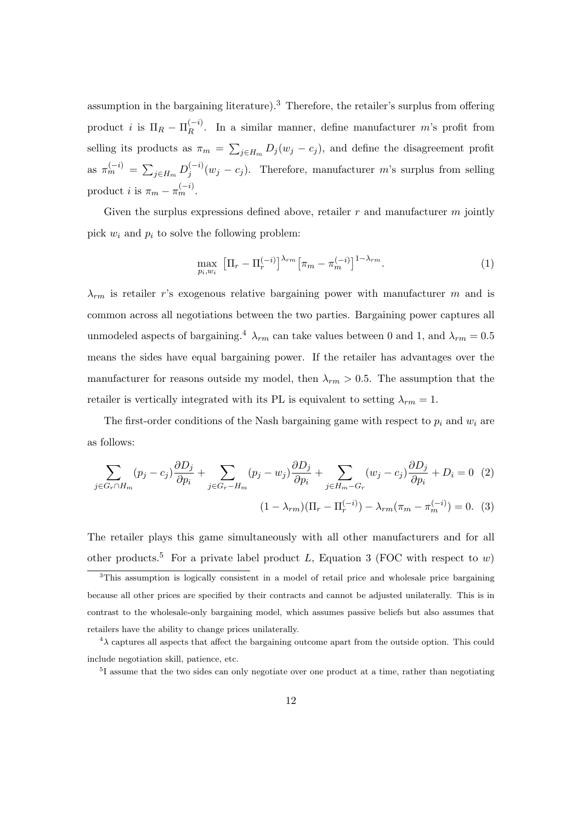assumption in the bargaining literature).<sup>3</sup> Therefore, the retailer's surplus from offering product *i* is  $\Pi_R - \Pi_R^{(-i)}$  $\binom{-i}{R}$ . In a similar manner, define manufacturer m's profit from selling its products as  $\pi_m = \sum_{j \in H_m} D_j(w_j - c_j)$ , and define the disagreement profit as  $\pi_m^{(-i)} = \sum_{j \in H_m} D_j^{(-i)}$  $j_j^{(-i)}(w_j - c_j)$ . Therefore, manufacturer m's surplus from selling product *i* is  $\pi_m - \pi_m^{(-i)}$ .

Given the surplus expressions defined above, retailer  $r$  and manufacturer  $m$  jointly pick  $w_i$  and  $p_i$  to solve the following problem:

$$
\max_{p_i, w_i} \left[ \Pi_r - \Pi_r^{(-i)} \right]^{\lambda_{rm}} \left[ \pi_m - \pi_m^{(-i)} \right]^{1 - \lambda_{rm}}.
$$
\n(1)

 $\lambda_{rm}$  is retailer r's exogenous relative bargaining power with manufacturer m and is common across all negotiations between the two parties. Bargaining power captures all unmodeled aspects of bargaining.<sup>4</sup>  $\lambda_{rm}$  can take values between 0 and 1, and  $\lambda_{rm} = 0.5$ means the sides have equal bargaining power. If the retailer has advantages over the manufacturer for reasons outside my model, then  $\lambda_{rm} > 0.5$ . The assumption that the retailer is vertically integrated with its PL is equivalent to setting  $\lambda_{rm} = 1$ .

The first-order conditions of the Nash bargaining game with respect to  $p_i$  and  $w_i$  are as follows:

$$
\sum_{j \in G_r \cap H_m} (p_j - c_j) \frac{\partial D_j}{\partial p_i} + \sum_{j \in G_r - H_m} (p_j - w_j) \frac{\partial D_j}{\partial p_i} + \sum_{j \in H_m - G_r} (w_j - c_j) \frac{\partial D_j}{\partial p_i} + D_i = 0 \quad (2)
$$
\n
$$
(1 - \lambda_{rm})(\Pi_r - \Pi_r^{(-i)}) - \lambda_{rm}(\pi_m - \pi_m^{(-i)}) = 0. \quad (3)
$$

The retailer plays this game simultaneously with all other manufacturers and for all other products.<sup>5</sup> For a private label product L, Equation 3 (FOC with respect to w)

<sup>&</sup>lt;sup>3</sup>This assumption is logically consistent in a model of retail price and wholesale price bargaining because all other prices are specified by their contracts and cannot be adjusted unilaterally. This is in contrast to the wholesale-only bargaining model, which assumes passive beliefs but also assumes that retailers have the ability to change prices unilaterally.

 $4\lambda$  captures all aspects that affect the bargaining outcome apart from the outside option. This could include negotiation skill, patience, etc.

<sup>&</sup>lt;sup>5</sup>I assume that the two sides can only negotiate over one product at a time, rather than negotiating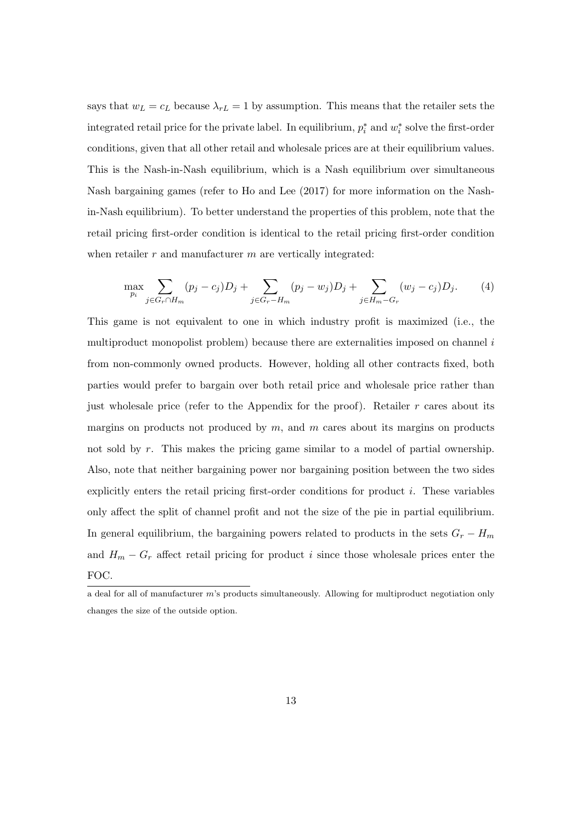says that  $w_L = c_L$  because  $\lambda_{rL} = 1$  by assumption. This means that the retailer sets the integrated retail price for the private label. In equilibrium,  $p_i^*$  and  $w_i^*$  solve the first-order conditions, given that all other retail and wholesale prices are at their equilibrium values. This is the Nash-in-Nash equilibrium, which is a Nash equilibrium over simultaneous Nash bargaining games (refer to Ho and Lee (2017) for more information on the Nashin-Nash equilibrium). To better understand the properties of this problem, note that the retail pricing first-order condition is identical to the retail pricing first-order condition when retailer  $r$  and manufacturer  $m$  are vertically integrated:

$$
\max_{p_i} \sum_{j \in G_r \cap H_m} (p_j - c_j) D_j + \sum_{j \in G_r - H_m} (p_j - w_j) D_j + \sum_{j \in H_m - G_r} (w_j - c_j) D_j.
$$
 (4)

This game is not equivalent to one in which industry profit is maximized (i.e., the multiproduct monopolist problem) because there are externalities imposed on channel i from non-commonly owned products. However, holding all other contracts fixed, both parties would prefer to bargain over both retail price and wholesale price rather than just wholesale price (refer to the Appendix for the proof). Retailer  $r$  cares about its margins on products not produced by  $m$ , and  $m$  cares about its margins on products not sold by r. This makes the pricing game similar to a model of partial ownership. Also, note that neither bargaining power nor bargaining position between the two sides explicitly enters the retail pricing first-order conditions for product i. These variables only affect the split of channel profit and not the size of the pie in partial equilibrium. In general equilibrium, the bargaining powers related to products in the sets  $G_r - H_m$ and  $H_m - G_r$  affect retail pricing for product i since those wholesale prices enter the FOC.

a deal for all of manufacturer m's products simultaneously. Allowing for multiproduct negotiation only changes the size of the outside option.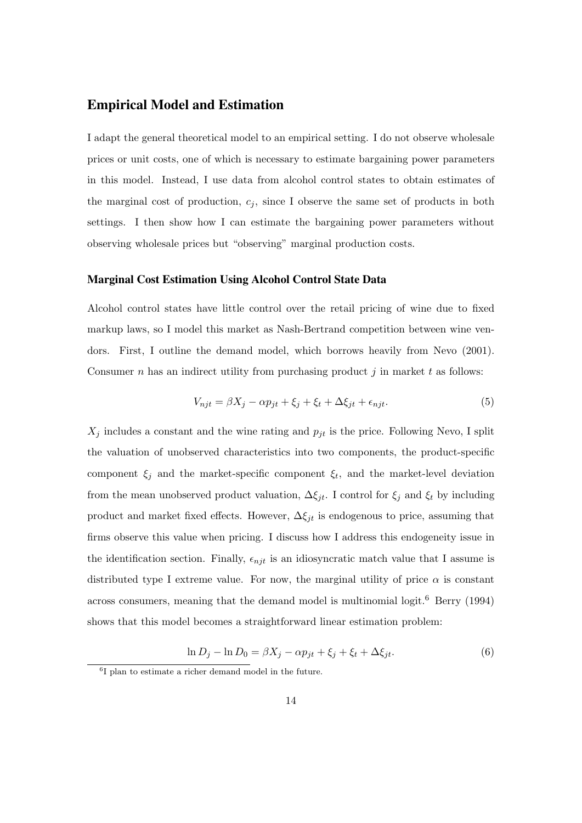### Empirical Model and Estimation

I adapt the general theoretical model to an empirical setting. I do not observe wholesale prices or unit costs, one of which is necessary to estimate bargaining power parameters in this model. Instead, I use data from alcohol control states to obtain estimates of the marginal cost of production,  $c_j$ , since I observe the same set of products in both settings. I then show how I can estimate the bargaining power parameters without observing wholesale prices but "observing" marginal production costs.

#### Marginal Cost Estimation Using Alcohol Control State Data

Alcohol control states have little control over the retail pricing of wine due to fixed markup laws, so I model this market as Nash-Bertrand competition between wine vendors. First, I outline the demand model, which borrows heavily from Nevo (2001). Consumer n has an indirect utility from purchasing product j in market t as follows:

$$
V_{njt} = \beta X_j - \alpha p_{jt} + \xi_j + \xi_t + \Delta \xi_{jt} + \epsilon_{njt}.
$$
\n
$$
(5)
$$

 $X_j$  includes a constant and the wine rating and  $p_{jt}$  is the price. Following Nevo, I split the valuation of unobserved characteristics into two components, the product-specific component  $\xi_j$  and the market-specific component  $\xi_t$ , and the market-level deviation from the mean unobserved product valuation,  $\Delta \xi_{jt}$ . I control for  $\xi_j$  and  $\xi_t$  by including product and market fixed effects. However,  $\Delta \xi_{jt}$  is endogenous to price, assuming that firms observe this value when pricing. I discuss how I address this endogeneity issue in the identification section. Finally,  $\epsilon_{njt}$  is an idiosyncratic match value that I assume is distributed type I extreme value. For now, the marginal utility of price  $\alpha$  is constant across consumers, meaning that the demand model is multinomial logit.<sup>6</sup> Berry (1994) shows that this model becomes a straightforward linear estimation problem:

$$
\ln D_j - \ln D_0 = \beta X_j - \alpha p_{jt} + \xi_j + \xi_t + \Delta \xi_{jt}.
$$
\n
$$
(6)
$$

<sup>6</sup> I plan to estimate a richer demand model in the future.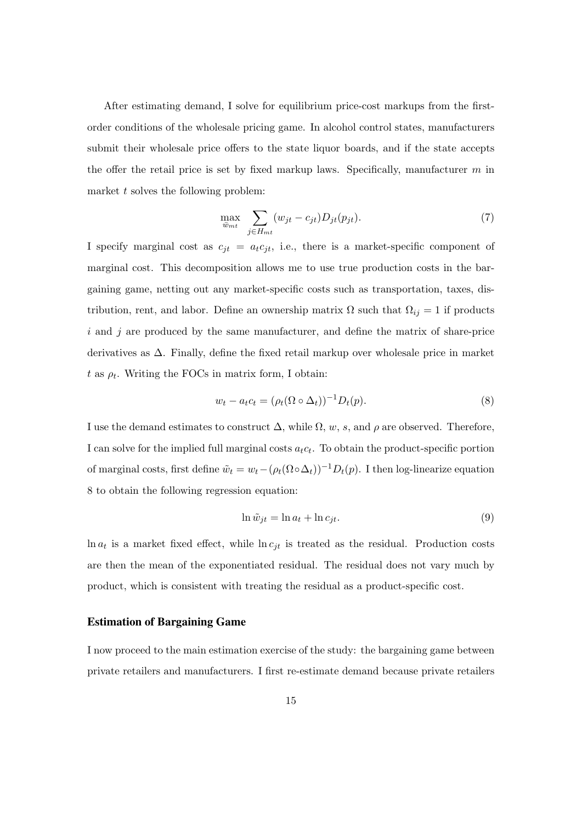After estimating demand, I solve for equilibrium price-cost markups from the firstorder conditions of the wholesale pricing game. In alcohol control states, manufacturers submit their wholesale price offers to the state liquor boards, and if the state accepts the offer the retail price is set by fixed markup laws. Specifically, manufacturer  $m$  in market  $t$  solves the following problem:

$$
\max_{\overline{w}_{mt}} \sum_{j \in H_{mt}} (w_{jt} - c_{jt}) D_{jt}(p_{jt}). \tag{7}
$$

I specify marginal cost as  $c_{jt} = a_t c_{jt}$ , i.e., there is a market-specific component of marginal cost. This decomposition allows me to use true production costs in the bargaining game, netting out any market-specific costs such as transportation, taxes, distribution, rent, and labor. Define an ownership matrix  $\Omega$  such that  $\Omega_{ij} = 1$  if products  $i$  and  $j$  are produced by the same manufacturer, and define the matrix of share-price derivatives as ∆. Finally, define the fixed retail markup over wholesale price in market  $t$  as  $\rho_t$ . Writing the FOCs in matrix form, I obtain:

$$
w_t - a_t c_t = (\rho_t (\Omega \circ \Delta_t))^{-1} D_t(p). \tag{8}
$$

I use the demand estimates to construct  $\Delta$ , while  $\Omega$ , w, s, and  $\rho$  are observed. Therefore, I can solve for the implied full marginal costs  $a_t c_t$ . To obtain the product-specific portion of marginal costs, first define  $\tilde{w}_t = w_t - (\rho_t(\Omega \circ \Delta_t))^{-1} D_t(p)$ . I then log-linearize equation 8 to obtain the following regression equation:

$$
\ln \tilde{w}_{jt} = \ln a_t + \ln c_{jt}.\tag{9}
$$

 $\ln a_t$  is a market fixed effect, while  $\ln c_{jt}$  is treated as the residual. Production costs are then the mean of the exponentiated residual. The residual does not vary much by product, which is consistent with treating the residual as a product-specific cost.

#### Estimation of Bargaining Game

I now proceed to the main estimation exercise of the study: the bargaining game between private retailers and manufacturers. I first re-estimate demand because private retailers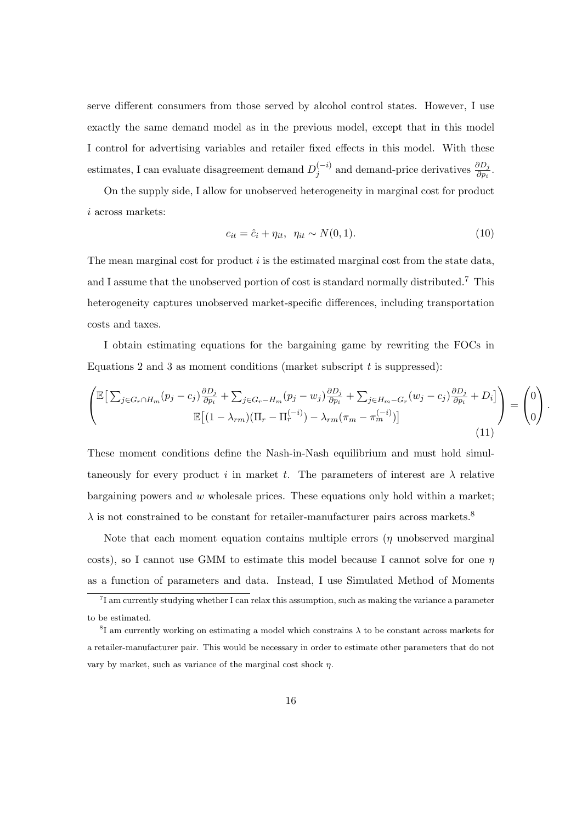serve different consumers from those served by alcohol control states. However, I use exactly the same demand model as in the previous model, except that in this model I control for advertising variables and retailer fixed effects in this model. With these estimates, I can evaluate disagreement demand  $D_i^{(-i)}$  $j^{(-i)}$  and demand-price derivatives  $\frac{\partial D_j}{\partial p_i}$ .

On the supply side, I allow for unobserved heterogeneity in marginal cost for product i across markets:

$$
c_{it} = \hat{c}_i + \eta_{it}, \quad \eta_{it} \sim N(0, 1). \tag{10}
$$

The mean marginal cost for product  $i$  is the estimated marginal cost from the state data, and I assume that the unobserved portion of cost is standard normally distributed.<sup>7</sup> This heterogeneity captures unobserved market-specific differences, including transportation costs and taxes.

I obtain estimating equations for the bargaining game by rewriting the FOCs in Equations 2 and 3 as moment conditions (market subscript  $t$  is suppressed):

$$
\begin{pmatrix}\n\mathbb{E}\big[\sum_{j\in G_r\cap H_m}(p_j-c_j)\frac{\partial D_j}{\partial p_i} + \sum_{j\in G_r-H_m}(p_j-w_j)\frac{\partial D_j}{\partial p_i} + \sum_{j\in H_m-G_r}(w_j-c_j)\frac{\partial D_j}{\partial p_i} + D_i\big] \\
\mathbb{E}\big[(1-\lambda_{rm})(\Pi_r-\Pi_r^{(-i)}) - \lambda_{rm}(\pi_m-\pi_m^{(-i)})\big]\n\end{pmatrix} = \begin{pmatrix}\n0 \\
0\n\end{pmatrix}.
$$
\n(11)

These moment conditions define the Nash-in-Nash equilibrium and must hold simultaneously for every product i in market t. The parameters of interest are  $\lambda$  relative bargaining powers and  $w$  wholesale prices. These equations only hold within a market;  $\lambda$  is not constrained to be constant for retailer-manufacturer pairs across markets.<sup>8</sup>

Note that each moment equation contains multiple errors  $(\eta$  unobserved marginal costs), so I cannot use GMM to estimate this model because I cannot solve for one  $\eta$ as a function of parameters and data. Instead, I use Simulated Method of Moments

<sup>7</sup> I am currently studying whether I can relax this assumption, such as making the variance a parameter to be estimated.

<sup>&</sup>lt;sup>8</sup>I am currently working on estimating a model which constrains  $\lambda$  to be constant across markets for a retailer-manufacturer pair. This would be necessary in order to estimate other parameters that do not vary by market, such as variance of the marginal cost shock  $\eta$ .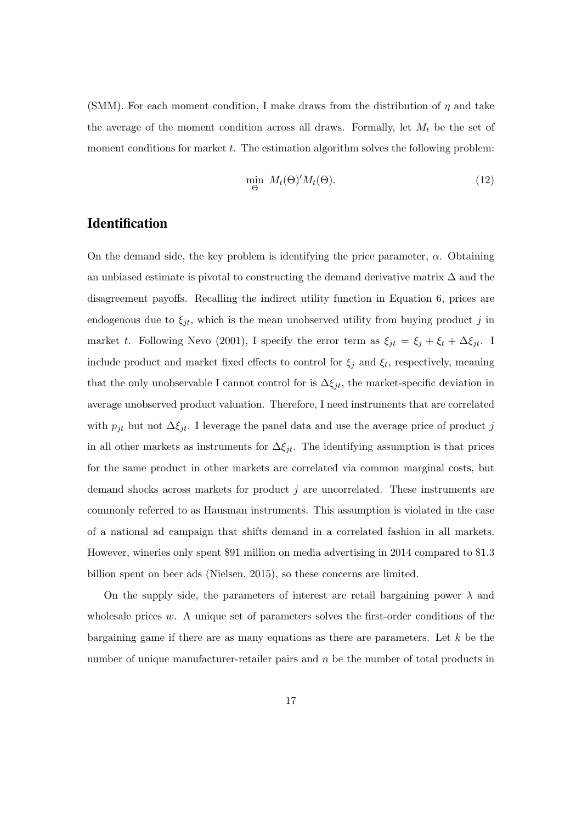(SMM). For each moment condition, I make draws from the distribution of  $\eta$  and take the average of the moment condition across all draws. Formally, let  $M_t$  be the set of moment conditions for market  $t$ . The estimation algorithm solves the following problem:

$$
\min_{\Theta} M_t(\Theta)' M_t(\Theta). \tag{12}
$$

## **Identification**

On the demand side, the key problem is identifying the price parameter,  $\alpha$ . Obtaining an unbiased estimate is pivotal to constructing the demand derivative matrix  $\Delta$  and the disagreement payoffs. Recalling the indirect utility function in Equation 6, prices are endogenous due to  $\xi_{jt}$ , which is the mean unobserved utility from buying product j in market t. Following Nevo (2001), I specify the error term as  $\xi_{jt} = \xi_j + \xi_t + \Delta \xi_{jt}$ . I include product and market fixed effects to control for  $\xi_j$  and  $\xi_t$ , respectively, meaning that the only unobservable I cannot control for is  $\Delta \xi_{jt}$ , the market-specific deviation in average unobserved product valuation. Therefore, I need instruments that are correlated with  $p_{jt}$  but not  $\Delta \xi_{jt}$ . I leverage the panel data and use the average price of product j in all other markets as instruments for  $\Delta \xi_{jt}$ . The identifying assumption is that prices for the same product in other markets are correlated via common marginal costs, but demand shocks across markets for product  $j$  are uncorrelated. These instruments are commonly referred to as Hausman instruments. This assumption is violated in the case of a national ad campaign that shifts demand in a correlated fashion in all markets. However, wineries only spent \$91 million on media advertising in 2014 compared to \$1.3 billion spent on beer ads (Nielsen, 2015), so these concerns are limited.

On the supply side, the parameters of interest are retail bargaining power  $\lambda$  and wholesale prices  $w$ . A unique set of parameters solves the first-order conditions of the bargaining game if there are as many equations as there are parameters. Let  $k$  be the number of unique manufacturer-retailer pairs and  $n$  be the number of total products in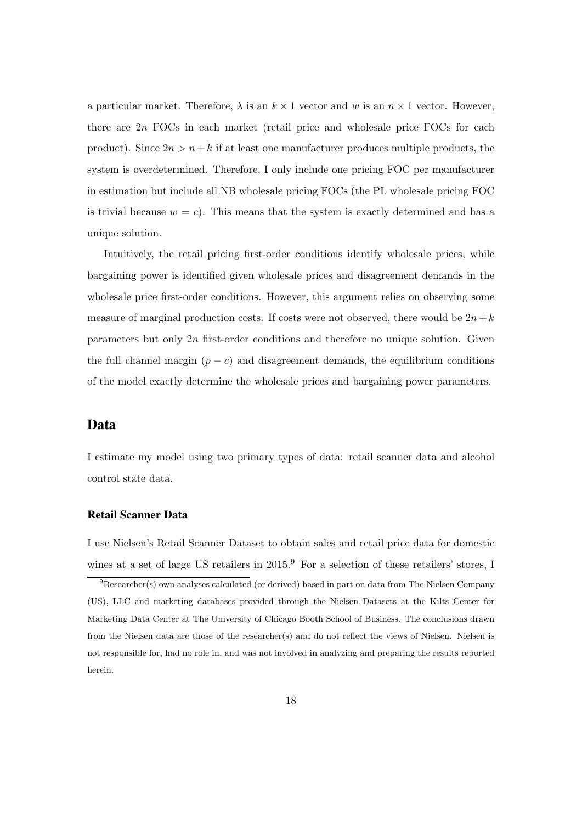a particular market. Therefore,  $\lambda$  is an  $k \times 1$  vector and w is an  $n \times 1$  vector. However, there are  $2n$  FOCs in each market (retail price and wholesale price FOCs for each product). Since  $2n > n+k$  if at least one manufacturer produces multiple products, the system is overdetermined. Therefore, I only include one pricing FOC per manufacturer in estimation but include all NB wholesale pricing FOCs (the PL wholesale pricing FOC is trivial because  $w = c$ ). This means that the system is exactly determined and has a unique solution.

Intuitively, the retail pricing first-order conditions identify wholesale prices, while bargaining power is identified given wholesale prices and disagreement demands in the wholesale price first-order conditions. However, this argument relies on observing some measure of marginal production costs. If costs were not observed, there would be  $2n+k$ parameters but only 2n first-order conditions and therefore no unique solution. Given the full channel margin  $(p - c)$  and disagreement demands, the equilibrium conditions of the model exactly determine the wholesale prices and bargaining power parameters.

### Data

I estimate my model using two primary types of data: retail scanner data and alcohol control state data.

#### Retail Scanner Data

I use Nielsen's Retail Scanner Dataset to obtain sales and retail price data for domestic wines at a set of large US retailers in 2015.<sup>9</sup> For a selection of these retailers' stores, I

<sup>9</sup>Researcher(s) own analyses calculated (or derived) based in part on data from The Nielsen Company (US), LLC and marketing databases provided through the Nielsen Datasets at the Kilts Center for Marketing Data Center at The University of Chicago Booth School of Business. The conclusions drawn from the Nielsen data are those of the researcher(s) and do not reflect the views of Nielsen. Nielsen is not responsible for, had no role in, and was not involved in analyzing and preparing the results reported herein.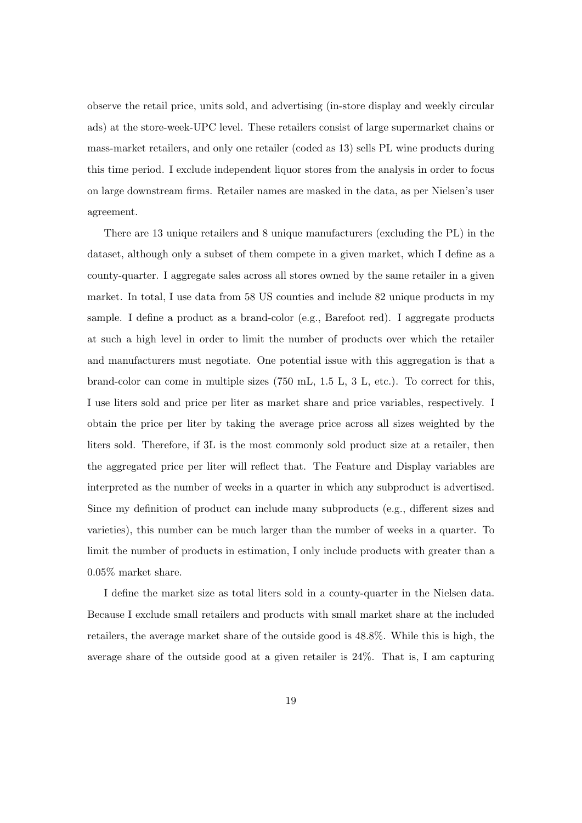observe the retail price, units sold, and advertising (in-store display and weekly circular ads) at the store-week-UPC level. These retailers consist of large supermarket chains or mass-market retailers, and only one retailer (coded as 13) sells PL wine products during this time period. I exclude independent liquor stores from the analysis in order to focus on large downstream firms. Retailer names are masked in the data, as per Nielsen's user agreement.

There are 13 unique retailers and 8 unique manufacturers (excluding the PL) in the dataset, although only a subset of them compete in a given market, which I define as a county-quarter. I aggregate sales across all stores owned by the same retailer in a given market. In total, I use data from 58 US counties and include 82 unique products in my sample. I define a product as a brand-color (e.g., Barefoot red). I aggregate products at such a high level in order to limit the number of products over which the retailer and manufacturers must negotiate. One potential issue with this aggregation is that a brand-color can come in multiple sizes (750 mL, 1.5 L, 3 L, etc.). To correct for this, I use liters sold and price per liter as market share and price variables, respectively. I obtain the price per liter by taking the average price across all sizes weighted by the liters sold. Therefore, if 3L is the most commonly sold product size at a retailer, then the aggregated price per liter will reflect that. The Feature and Display variables are interpreted as the number of weeks in a quarter in which any subproduct is advertised. Since my definition of product can include many subproducts (e.g., different sizes and varieties), this number can be much larger than the number of weeks in a quarter. To limit the number of products in estimation, I only include products with greater than a 0.05% market share.

I define the market size as total liters sold in a county-quarter in the Nielsen data. Because I exclude small retailers and products with small market share at the included retailers, the average market share of the outside good is 48.8%. While this is high, the average share of the outside good at a given retailer is 24%. That is, I am capturing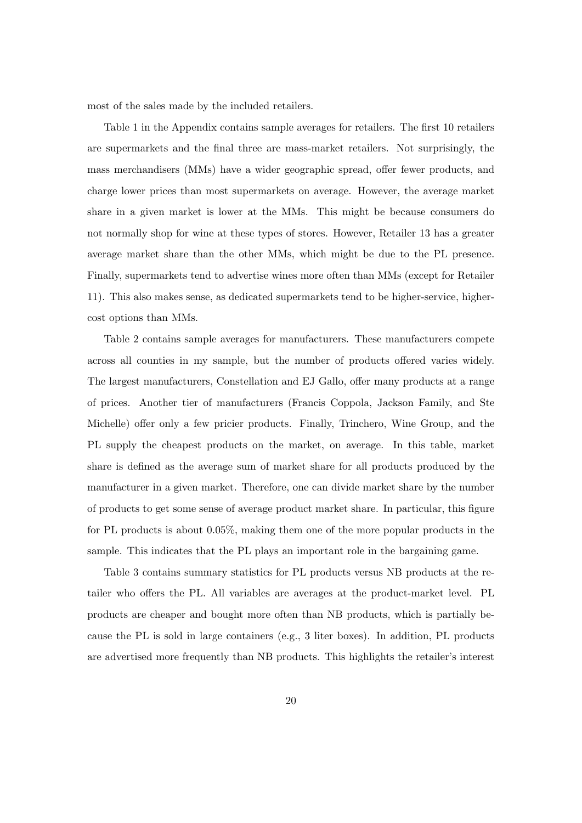most of the sales made by the included retailers.

Table 1 in the Appendix contains sample averages for retailers. The first 10 retailers are supermarkets and the final three are mass-market retailers. Not surprisingly, the mass merchandisers (MMs) have a wider geographic spread, offer fewer products, and charge lower prices than most supermarkets on average. However, the average market share in a given market is lower at the MMs. This might be because consumers do not normally shop for wine at these types of stores. However, Retailer 13 has a greater average market share than the other MMs, which might be due to the PL presence. Finally, supermarkets tend to advertise wines more often than MMs (except for Retailer 11). This also makes sense, as dedicated supermarkets tend to be higher-service, highercost options than MMs.

Table 2 contains sample averages for manufacturers. These manufacturers compete across all counties in my sample, but the number of products offered varies widely. The largest manufacturers, Constellation and EJ Gallo, offer many products at a range of prices. Another tier of manufacturers (Francis Coppola, Jackson Family, and Ste Michelle) offer only a few pricier products. Finally, Trinchero, Wine Group, and the PL supply the cheapest products on the market, on average. In this table, market share is defined as the average sum of market share for all products produced by the manufacturer in a given market. Therefore, one can divide market share by the number of products to get some sense of average product market share. In particular, this figure for PL products is about 0.05%, making them one of the more popular products in the sample. This indicates that the PL plays an important role in the bargaining game.

Table 3 contains summary statistics for PL products versus NB products at the retailer who offers the PL. All variables are averages at the product-market level. PL products are cheaper and bought more often than NB products, which is partially because the PL is sold in large containers (e.g., 3 liter boxes). In addition, PL products are advertised more frequently than NB products. This highlights the retailer's interest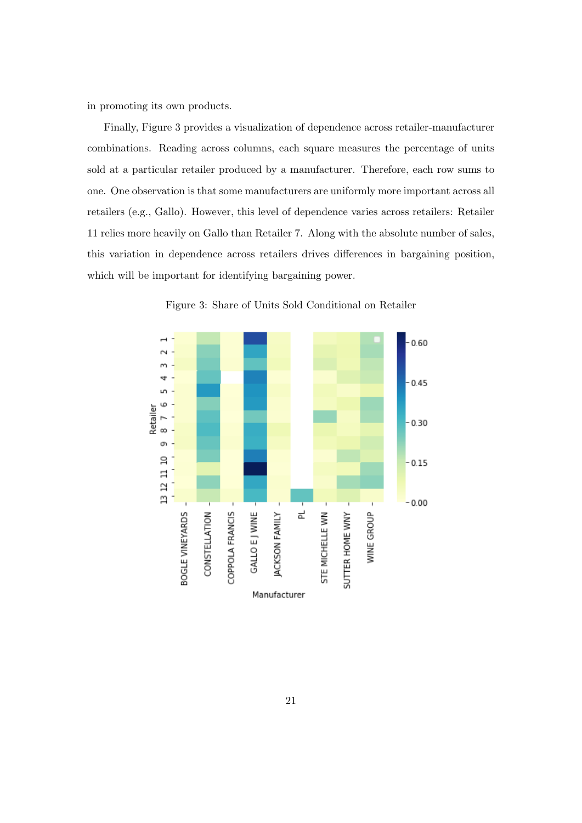in promoting its own products.

Finally, Figure 3 provides a visualization of dependence across retailer-manufacturer combinations. Reading across columns, each square measures the percentage of units sold at a particular retailer produced by a manufacturer. Therefore, each row sums to one. One observation is that some manufacturers are uniformly more important across all retailers (e.g., Gallo). However, this level of dependence varies across retailers: Retailer 11 relies more heavily on Gallo than Retailer 7. Along with the absolute number of sales, this variation in dependence across retailers drives differences in bargaining position, which will be important for identifying bargaining power.



Figure 3: Share of Units Sold Conditional on Retailer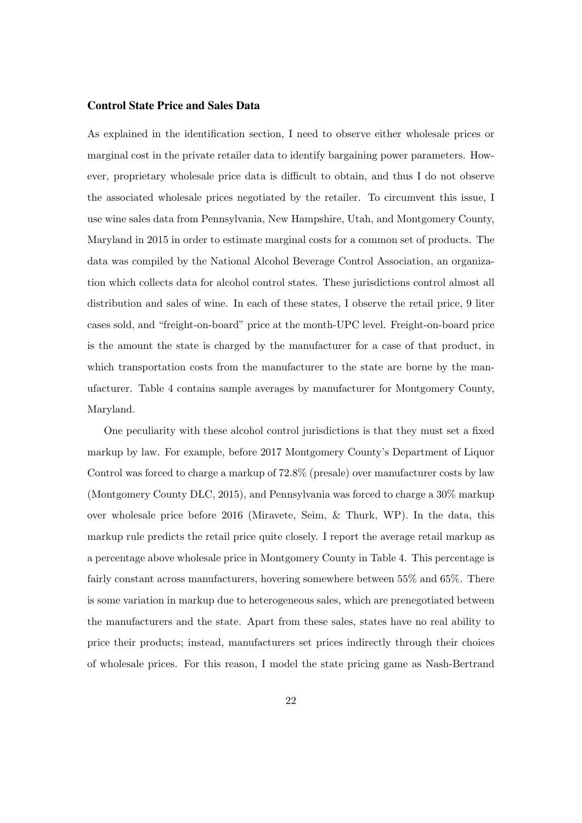### Control State Price and Sales Data

As explained in the identification section, I need to observe either wholesale prices or marginal cost in the private retailer data to identify bargaining power parameters. However, proprietary wholesale price data is difficult to obtain, and thus I do not observe the associated wholesale prices negotiated by the retailer. To circumvent this issue, I use wine sales data from Pennsylvania, New Hampshire, Utah, and Montgomery County, Maryland in 2015 in order to estimate marginal costs for a common set of products. The data was compiled by the National Alcohol Beverage Control Association, an organization which collects data for alcohol control states. These jurisdictions control almost all distribution and sales of wine. In each of these states, I observe the retail price, 9 liter cases sold, and "freight-on-board" price at the month-UPC level. Freight-on-board price is the amount the state is charged by the manufacturer for a case of that product, in which transportation costs from the manufacturer to the state are borne by the manufacturer. Table 4 contains sample averages by manufacturer for Montgomery County, Maryland.

One peculiarity with these alcohol control jurisdictions is that they must set a fixed markup by law. For example, before 2017 Montgomery County's Department of Liquor Control was forced to charge a markup of 72.8% (presale) over manufacturer costs by law (Montgomery County DLC, 2015), and Pennsylvania was forced to charge a 30% markup over wholesale price before 2016 (Miravete, Seim, & Thurk, WP). In the data, this markup rule predicts the retail price quite closely. I report the average retail markup as a percentage above wholesale price in Montgomery County in Table 4. This percentage is fairly constant across manufacturers, hovering somewhere between 55% and 65%. There is some variation in markup due to heterogeneous sales, which are prenegotiated between the manufacturers and the state. Apart from these sales, states have no real ability to price their products; instead, manufacturers set prices indirectly through their choices of wholesale prices. For this reason, I model the state pricing game as Nash-Bertrand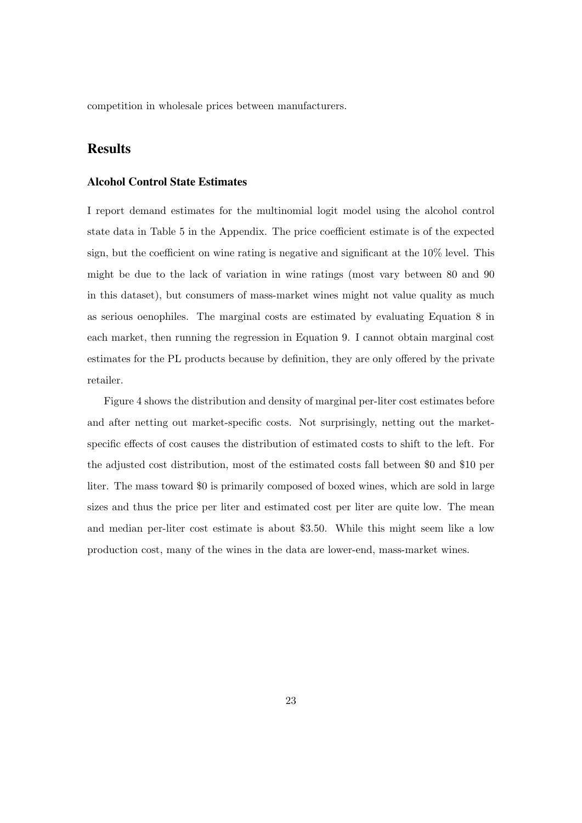competition in wholesale prices between manufacturers.

## Results

### Alcohol Control State Estimates

I report demand estimates for the multinomial logit model using the alcohol control state data in Table 5 in the Appendix. The price coefficient estimate is of the expected sign, but the coefficient on wine rating is negative and significant at the 10% level. This might be due to the lack of variation in wine ratings (most vary between 80 and 90 in this dataset), but consumers of mass-market wines might not value quality as much as serious oenophiles. The marginal costs are estimated by evaluating Equation 8 in each market, then running the regression in Equation 9. I cannot obtain marginal cost estimates for the PL products because by definition, they are only offered by the private retailer.

Figure 4 shows the distribution and density of marginal per-liter cost estimates before and after netting out market-specific costs. Not surprisingly, netting out the marketspecific effects of cost causes the distribution of estimated costs to shift to the left. For the adjusted cost distribution, most of the estimated costs fall between \$0 and \$10 per liter. The mass toward \$0 is primarily composed of boxed wines, which are sold in large sizes and thus the price per liter and estimated cost per liter are quite low. The mean and median per-liter cost estimate is about \$3.50. While this might seem like a low production cost, many of the wines in the data are lower-end, mass-market wines.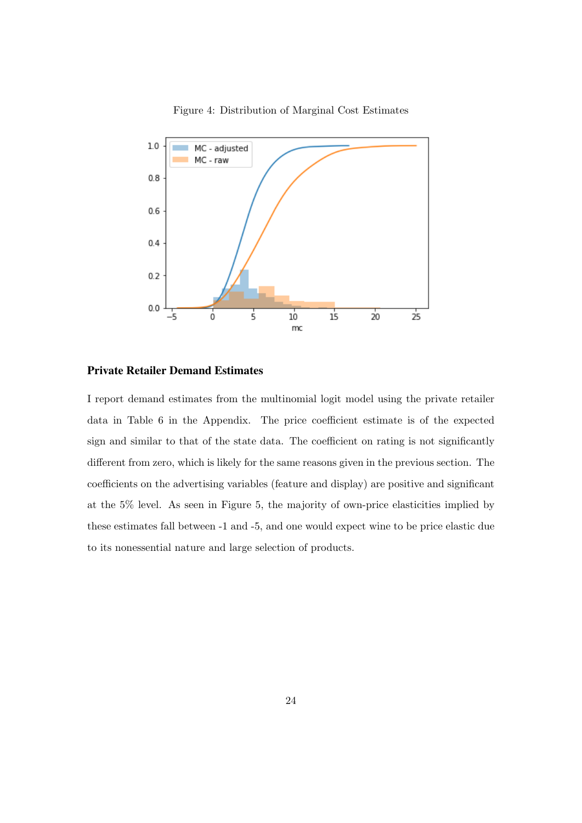

Figure 4: Distribution of Marginal Cost Estimates

#### Private Retailer Demand Estimates

I report demand estimates from the multinomial logit model using the private retailer data in Table 6 in the Appendix. The price coefficient estimate is of the expected sign and similar to that of the state data. The coefficient on rating is not significantly different from zero, which is likely for the same reasons given in the previous section. The coefficients on the advertising variables (feature and display) are positive and significant at the 5% level. As seen in Figure 5, the majority of own-price elasticities implied by these estimates fall between -1 and -5, and one would expect wine to be price elastic due to its nonessential nature and large selection of products.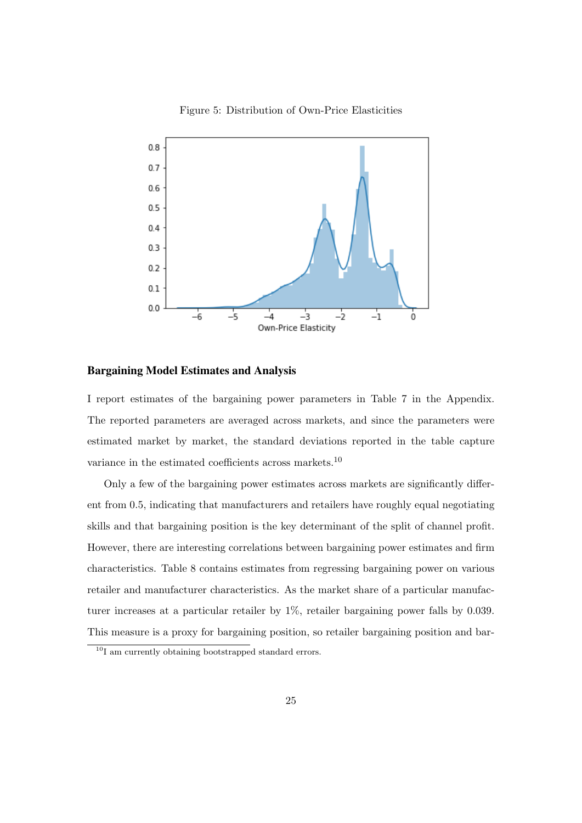

Figure 5: Distribution of Own-Price Elasticities

#### Bargaining Model Estimates and Analysis

I report estimates of the bargaining power parameters in Table 7 in the Appendix. The reported parameters are averaged across markets, and since the parameters were estimated market by market, the standard deviations reported in the table capture variance in the estimated coefficients across markets.<sup>10</sup>

Only a few of the bargaining power estimates across markets are significantly different from 0.5, indicating that manufacturers and retailers have roughly equal negotiating skills and that bargaining position is the key determinant of the split of channel profit. However, there are interesting correlations between bargaining power estimates and firm characteristics. Table 8 contains estimates from regressing bargaining power on various retailer and manufacturer characteristics. As the market share of a particular manufacturer increases at a particular retailer by 1%, retailer bargaining power falls by 0.039. This measure is a proxy for bargaining position, so retailer bargaining position and bar-

<sup>&</sup>lt;sup>10</sup>I am currently obtaining bootstrapped standard errors.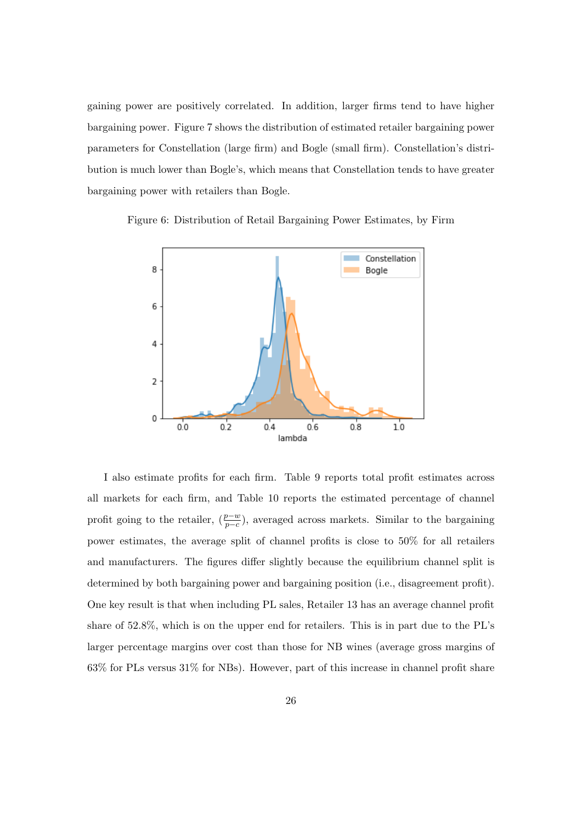gaining power are positively correlated. In addition, larger firms tend to have higher bargaining power. Figure 7 shows the distribution of estimated retailer bargaining power parameters for Constellation (large firm) and Bogle (small firm). Constellation's distribution is much lower than Bogle's, which means that Constellation tends to have greater bargaining power with retailers than Bogle.





I also estimate profits for each firm. Table 9 reports total profit estimates across all markets for each firm, and Table 10 reports the estimated percentage of channel profit going to the retailer,  $(\frac{p-w}{p-c})$ , averaged across markets. Similar to the bargaining power estimates, the average split of channel profits is close to 50% for all retailers and manufacturers. The figures differ slightly because the equilibrium channel split is determined by both bargaining power and bargaining position (i.e., disagreement profit). One key result is that when including PL sales, Retailer 13 has an average channel profit share of 52.8%, which is on the upper end for retailers. This is in part due to the PL's larger percentage margins over cost than those for NB wines (average gross margins of 63% for PLs versus 31% for NBs). However, part of this increase in channel profit share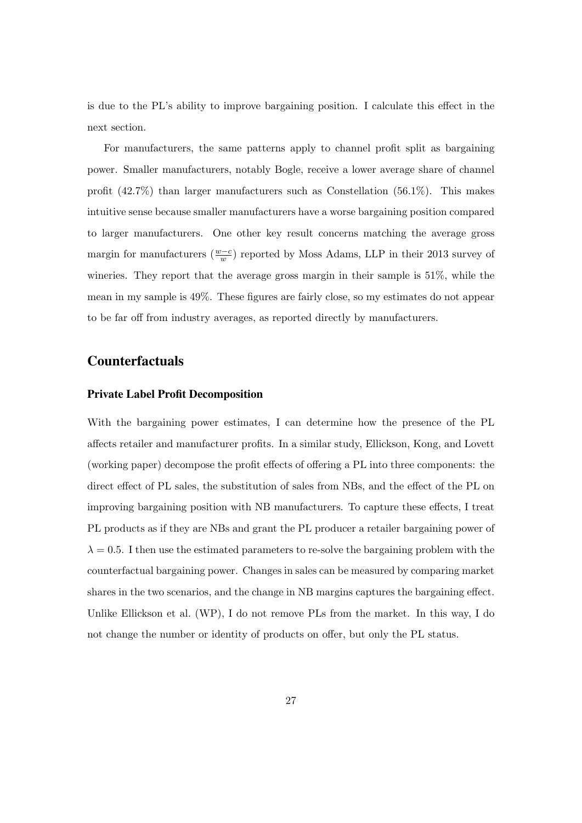is due to the PL's ability to improve bargaining position. I calculate this effect in the next section.

For manufacturers, the same patterns apply to channel profit split as bargaining power. Smaller manufacturers, notably Bogle, receive a lower average share of channel profit (42.7%) than larger manufacturers such as Constellation (56.1%). This makes intuitive sense because smaller manufacturers have a worse bargaining position compared to larger manufacturers. One other key result concerns matching the average gross margin for manufacturers  $(\frac{w-c}{w})$  reported by Moss Adams, LLP in their 2013 survey of wineries. They report that the average gross margin in their sample is 51%, while the mean in my sample is 49%. These figures are fairly close, so my estimates do not appear to be far off from industry averages, as reported directly by manufacturers.

### Counterfactuals

#### Private Label Profit Decomposition

With the bargaining power estimates, I can determine how the presence of the PL affects retailer and manufacturer profits. In a similar study, Ellickson, Kong, and Lovett (working paper) decompose the profit effects of offering a PL into three components: the direct effect of PL sales, the substitution of sales from NBs, and the effect of the PL on improving bargaining position with NB manufacturers. To capture these effects, I treat PL products as if they are NBs and grant the PL producer a retailer bargaining power of  $\lambda = 0.5$ . I then use the estimated parameters to re-solve the bargaining problem with the counterfactual bargaining power. Changes in sales can be measured by comparing market shares in the two scenarios, and the change in NB margins captures the bargaining effect. Unlike Ellickson et al. (WP), I do not remove PLs from the market. In this way, I do not change the number or identity of products on offer, but only the PL status.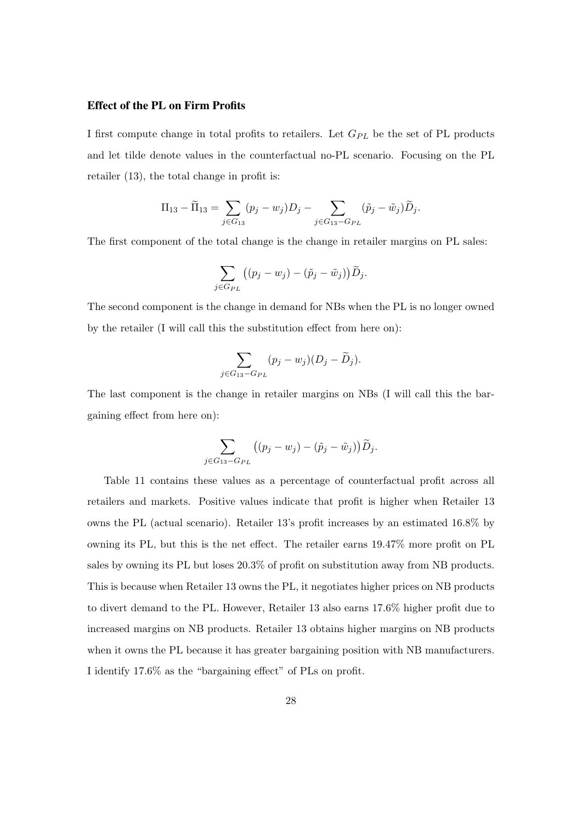#### Effect of the PL on Firm Profits

I first compute change in total profits to retailers. Let  $G_{PL}$  be the set of PL products and let tilde denote values in the counterfactual no-PL scenario. Focusing on the PL retailer (13), the total change in profit is:

$$
\Pi_{13} - \widetilde{\Pi}_{13} = \sum_{j \in G_{13}} (p_j - w_j) D_j - \sum_{j \in G_{13} - G_{PL}} (\widetilde{p}_j - \widetilde{w}_j) \widetilde{D}_j.
$$

The first component of the total change is the change in retailer margins on PL sales:

$$
\sum_{j\in G_{PL}} ((p_j - w_j) - (\tilde{p}_j - \tilde{w}_j)) \widetilde{D}_j.
$$

The second component is the change in demand for NBs when the PL is no longer owned by the retailer (I will call this the substitution effect from here on):

$$
\sum_{j \in G_{13} - G_{PL}} (p_j - w_j)(D_j - \widetilde{D}_j).
$$

The last component is the change in retailer margins on NBs (I will call this the bargaining effect from here on):

$$
\sum_{j\in G_{13}-G_{PL}} \left( (p_j-w_j)-(\tilde{p}_j-\tilde{w}_j)\right) \widetilde{D}_j.
$$

Table 11 contains these values as a percentage of counterfactual profit across all retailers and markets. Positive values indicate that profit is higher when Retailer 13 owns the PL (actual scenario). Retailer 13's profit increases by an estimated 16.8% by owning its PL, but this is the net effect. The retailer earns 19.47% more profit on PL sales by owning its PL but loses 20.3% of profit on substitution away from NB products. This is because when Retailer 13 owns the PL, it negotiates higher prices on NB products to divert demand to the PL. However, Retailer 13 also earns 17.6% higher profit due to increased margins on NB products. Retailer 13 obtains higher margins on NB products when it owns the PL because it has greater bargaining position with NB manufacturers. I identify 17.6% as the "bargaining effect" of PLs on profit.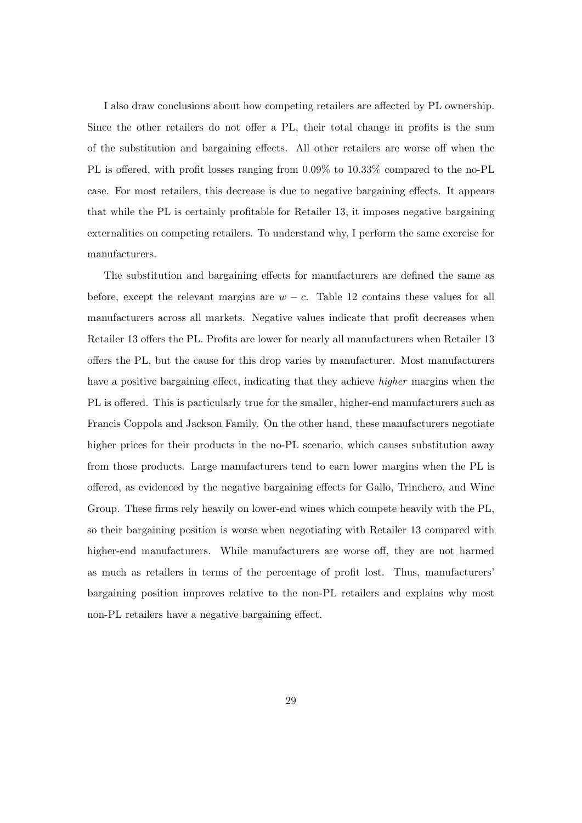I also draw conclusions about how competing retailers are affected by PL ownership. Since the other retailers do not offer a PL, their total change in profits is the sum of the substitution and bargaining effects. All other retailers are worse off when the PL is offered, with profit losses ranging from 0.09% to 10.33% compared to the no-PL case. For most retailers, this decrease is due to negative bargaining effects. It appears that while the PL is certainly profitable for Retailer 13, it imposes negative bargaining externalities on competing retailers. To understand why, I perform the same exercise for manufacturers.

The substitution and bargaining effects for manufacturers are defined the same as before, except the relevant margins are  $w - c$ . Table 12 contains these values for all manufacturers across all markets. Negative values indicate that profit decreases when Retailer 13 offers the PL. Profits are lower for nearly all manufacturers when Retailer 13 offers the PL, but the cause for this drop varies by manufacturer. Most manufacturers have a positive bargaining effect, indicating that they achieve *higher* margins when the PL is offered. This is particularly true for the smaller, higher-end manufacturers such as Francis Coppola and Jackson Family. On the other hand, these manufacturers negotiate higher prices for their products in the no-PL scenario, which causes substitution away from those products. Large manufacturers tend to earn lower margins when the PL is offered, as evidenced by the negative bargaining effects for Gallo, Trinchero, and Wine Group. These firms rely heavily on lower-end wines which compete heavily with the PL, so their bargaining position is worse when negotiating with Retailer 13 compared with higher-end manufacturers. While manufacturers are worse off, they are not harmed as much as retailers in terms of the percentage of profit lost. Thus, manufacturers' bargaining position improves relative to the non-PL retailers and explains why most non-PL retailers have a negative bargaining effect.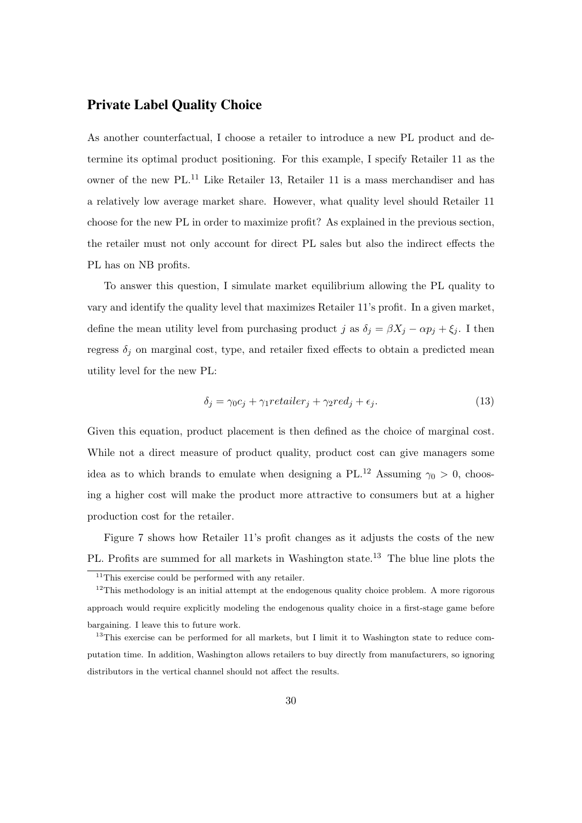## Private Label Quality Choice

As another counterfactual, I choose a retailer to introduce a new PL product and determine its optimal product positioning. For this example, I specify Retailer 11 as the owner of the new PL.<sup>11</sup> Like Retailer 13, Retailer 11 is a mass merchandiser and has a relatively low average market share. However, what quality level should Retailer 11 choose for the new PL in order to maximize profit? As explained in the previous section, the retailer must not only account for direct PL sales but also the indirect effects the PL has on NB profits.

To answer this question, I simulate market equilibrium allowing the PL quality to vary and identify the quality level that maximizes Retailer 11's profit. In a given market, define the mean utility level from purchasing product j as  $\delta_j = \beta X_j - \alpha p_j + \xi_j$ . I then regress  $\delta_i$  on marginal cost, type, and retailer fixed effects to obtain a predicted mean utility level for the new PL:

$$
\delta_j = \gamma_0 c_j + \gamma_1 \text{retailer}_j + \gamma_2 \text{red}_j + \epsilon_j. \tag{13}
$$

Given this equation, product placement is then defined as the choice of marginal cost. While not a direct measure of product quality, product cost can give managers some idea as to which brands to emulate when designing a PL.<sup>12</sup> Assuming  $\gamma_0 > 0$ , choosing a higher cost will make the product more attractive to consumers but at a higher production cost for the retailer.

Figure 7 shows how Retailer 11's profit changes as it adjusts the costs of the new PL. Profits are summed for all markets in Washington state.<sup>13</sup> The blue line plots the

 $11$ This exercise could be performed with any retailer.

 $12$ This methodology is an initial attempt at the endogenous quality choice problem. A more rigorous approach would require explicitly modeling the endogenous quality choice in a first-stage game before bargaining. I leave this to future work.

<sup>&</sup>lt;sup>13</sup>This exercise can be performed for all markets, but I limit it to Washington state to reduce computation time. In addition, Washington allows retailers to buy directly from manufacturers, so ignoring distributors in the vertical channel should not affect the results.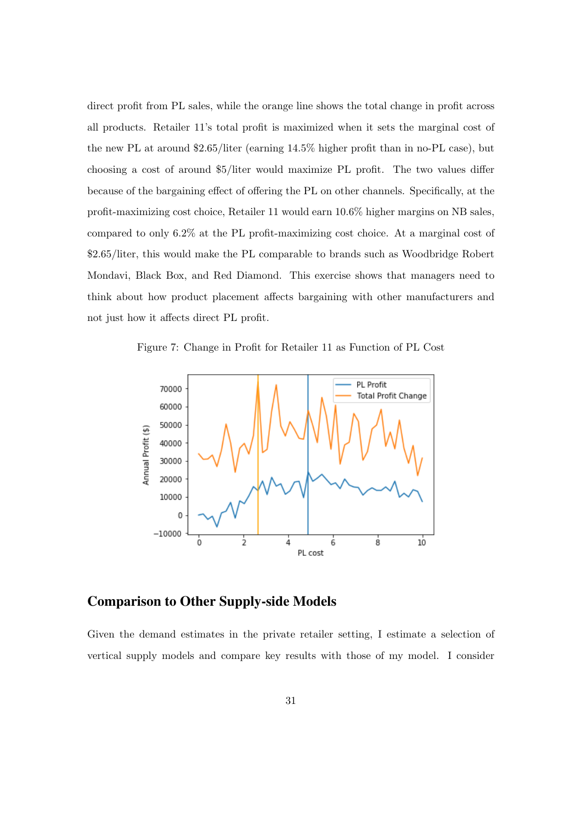direct profit from PL sales, while the orange line shows the total change in profit across all products. Retailer 11's total profit is maximized when it sets the marginal cost of the new PL at around \$2.65/liter (earning 14.5% higher profit than in no-PL case), but choosing a cost of around \$5/liter would maximize PL profit. The two values differ because of the bargaining effect of offering the PL on other channels. Specifically, at the profit-maximizing cost choice, Retailer 11 would earn 10.6% higher margins on NB sales, compared to only 6.2% at the PL profit-maximizing cost choice. At a marginal cost of \$2.65/liter, this would make the PL comparable to brands such as Woodbridge Robert Mondavi, Black Box, and Red Diamond. This exercise shows that managers need to think about how product placement affects bargaining with other manufacturers and not just how it affects direct PL profit.

Figure 7: Change in Profit for Retailer 11 as Function of PL Cost



### Comparison to Other Supply-side Models

Given the demand estimates in the private retailer setting, I estimate a selection of vertical supply models and compare key results with those of my model. I consider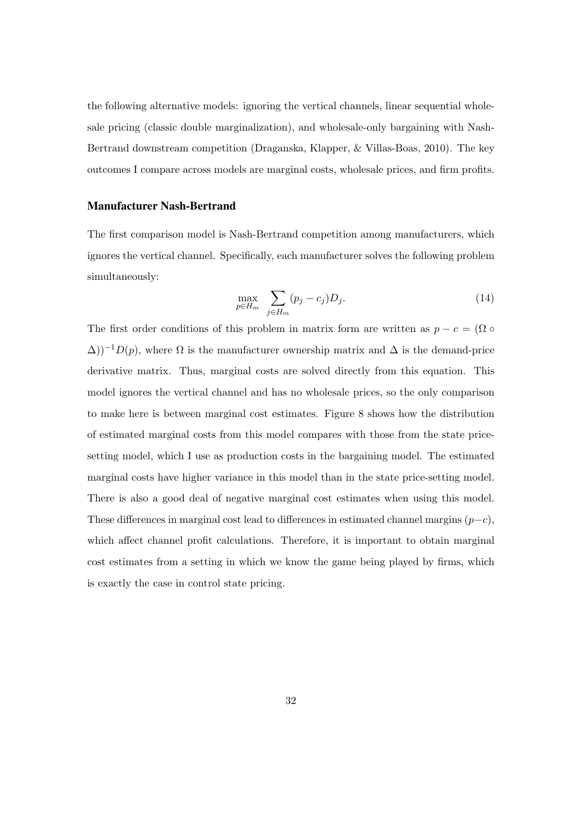the following alternative models: ignoring the vertical channels, linear sequential wholesale pricing (classic double marginalization), and wholesale-only bargaining with Nash-Bertrand downstream competition (Draganska, Klapper, & Villas-Boas, 2010). The key outcomes I compare across models are marginal costs, wholesale prices, and firm profits.

#### Manufacturer Nash-Bertrand

The first comparison model is Nash-Bertrand competition among manufacturers, which ignores the vertical channel. Specifically, each manufacturer solves the following problem simultaneously:

$$
\max_{p \in H_m} \sum_{j \in H_m} (p_j - c_j) D_j. \tag{14}
$$

The first order conditions of this problem in matrix form are written as  $p - c = (\Omega \circ \Pi)$  $\Delta$ ))<sup>-1</sup>D(p), where  $\Omega$  is the manufacturer ownership matrix and  $\Delta$  is the demand-price derivative matrix. Thus, marginal costs are solved directly from this equation. This model ignores the vertical channel and has no wholesale prices, so the only comparison to make here is between marginal cost estimates. Figure 8 shows how the distribution of estimated marginal costs from this model compares with those from the state pricesetting model, which I use as production costs in the bargaining model. The estimated marginal costs have higher variance in this model than in the state price-setting model. There is also a good deal of negative marginal cost estimates when using this model. These differences in marginal cost lead to differences in estimated channel margins  $(p-c)$ , which affect channel profit calculations. Therefore, it is important to obtain marginal cost estimates from a setting in which we know the game being played by firms, which is exactly the case in control state pricing.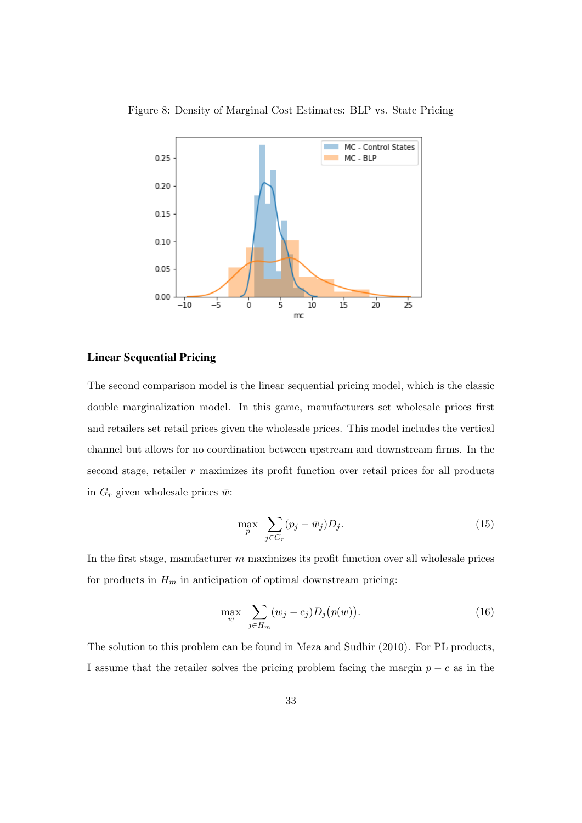

Figure 8: Density of Marginal Cost Estimates: BLP vs. State Pricing

### Linear Sequential Pricing

The second comparison model is the linear sequential pricing model, which is the classic double marginalization model. In this game, manufacturers set wholesale prices first and retailers set retail prices given the wholesale prices. This model includes the vertical channel but allows for no coordination between upstream and downstream firms. In the second stage, retailer  $r$  maximizes its profit function over retail prices for all products in  $G_r$  given wholesale prices  $\bar{w}$ :

$$
\max_{p} \sum_{j \in G_r} (p_j - \bar{w}_j) D_j.
$$
\n(15)

In the first stage, manufacturer  $m$  maximizes its profit function over all wholesale prices for products in  $H_m$  in anticipation of optimal downstream pricing:

$$
\max_{w} \sum_{j \in H_m} (w_j - c_j) D_j(p(w)). \tag{16}
$$

The solution to this problem can be found in Meza and Sudhir (2010). For PL products, I assume that the retailer solves the pricing problem facing the margin  $p - c$  as in the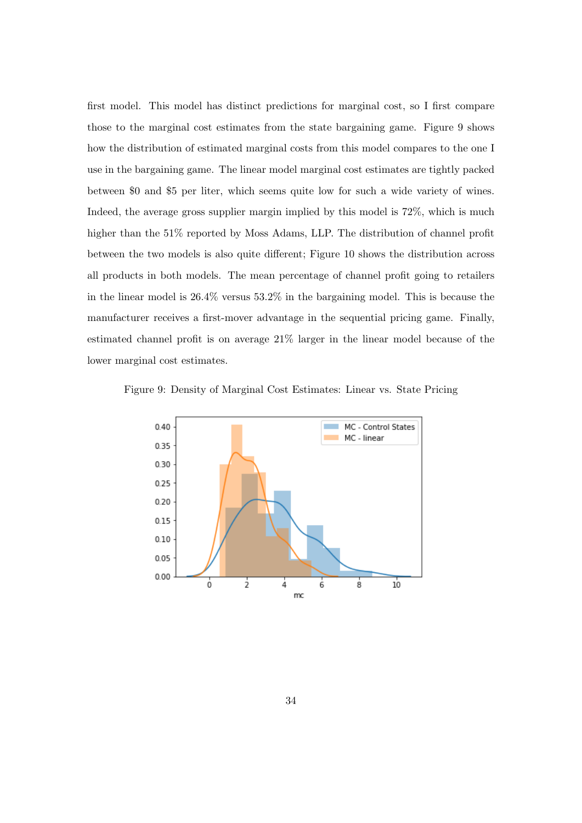first model. This model has distinct predictions for marginal cost, so I first compare those to the marginal cost estimates from the state bargaining game. Figure 9 shows how the distribution of estimated marginal costs from this model compares to the one I use in the bargaining game. The linear model marginal cost estimates are tightly packed between \$0 and \$5 per liter, which seems quite low for such a wide variety of wines. Indeed, the average gross supplier margin implied by this model is 72%, which is much higher than the 51% reported by Moss Adams, LLP. The distribution of channel profit between the two models is also quite different; Figure 10 shows the distribution across all products in both models. The mean percentage of channel profit going to retailers in the linear model is 26.4% versus 53.2% in the bargaining model. This is because the manufacturer receives a first-mover advantage in the sequential pricing game. Finally, estimated channel profit is on average 21% larger in the linear model because of the lower marginal cost estimates.

Figure 9: Density of Marginal Cost Estimates: Linear vs. State Pricing

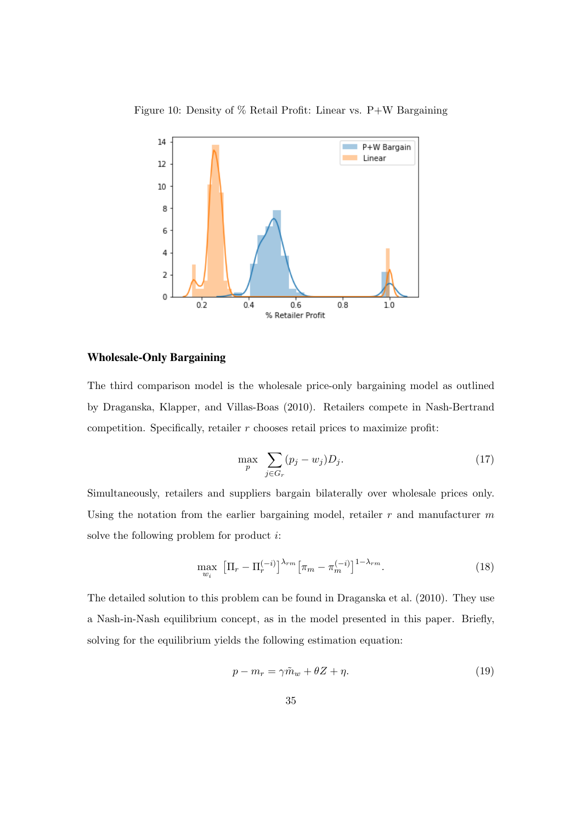



### Wholesale-Only Bargaining

The third comparison model is the wholesale price-only bargaining model as outlined by Draganska, Klapper, and Villas-Boas (2010). Retailers compete in Nash-Bertrand competition. Specifically, retailer  $r$  chooses retail prices to maximize profit:

$$
\max_{p} \sum_{j \in G_r} (p_j - w_j) D_j. \tag{17}
$$

Simultaneously, retailers and suppliers bargain bilaterally over wholesale prices only. Using the notation from the earlier bargaining model, retailer  $r$  and manufacturer  $m$ solve the following problem for product  $i$ :

$$
\max_{w_i} \left[ \Pi_r - \Pi_r^{(-i)} \right]^{\lambda_{rm}} \left[ \pi_m - \pi_m^{(-i)} \right]^{1 - \lambda_{rm}}. \tag{18}
$$

The detailed solution to this problem can be found in Draganska et al. (2010). They use a Nash-in-Nash equilibrium concept, as in the model presented in this paper. Briefly, solving for the equilibrium yields the following estimation equation:

$$
p - m_r = \gamma \tilde{m}_w + \theta Z + \eta. \tag{19}
$$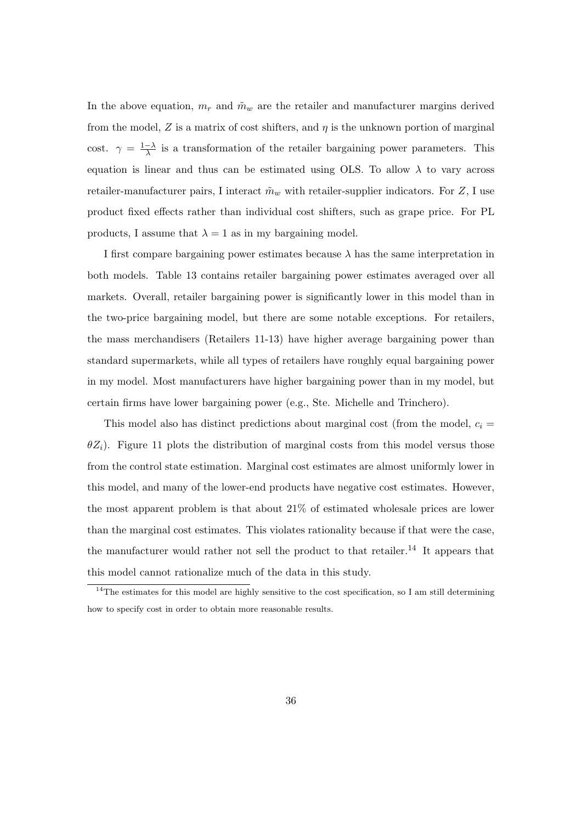In the above equation,  $m_r$  and  $\tilde{m}_w$  are the retailer and manufacturer margins derived from the model, Z is a matrix of cost shifters, and  $\eta$  is the unknown portion of marginal cost.  $\gamma = \frac{1-\lambda}{\lambda}$  $\frac{-\lambda}{\lambda}$  is a transformation of the retailer bargaining power parameters. This equation is linear and thus can be estimated using OLS. To allow  $\lambda$  to vary across retailer-manufacturer pairs, I interact  $\tilde{m}_w$  with retailer-supplier indicators. For Z, I use product fixed effects rather than individual cost shifters, such as grape price. For PL products, I assume that  $\lambda = 1$  as in my bargaining model.

I first compare bargaining power estimates because  $\lambda$  has the same interpretation in both models. Table 13 contains retailer bargaining power estimates averaged over all markets. Overall, retailer bargaining power is significantly lower in this model than in the two-price bargaining model, but there are some notable exceptions. For retailers, the mass merchandisers (Retailers 11-13) have higher average bargaining power than standard supermarkets, while all types of retailers have roughly equal bargaining power in my model. Most manufacturers have higher bargaining power than in my model, but certain firms have lower bargaining power (e.g., Ste. Michelle and Trinchero).

This model also has distinct predictions about marginal cost (from the model,  $c_i =$  $\theta Z_i$ ). Figure 11 plots the distribution of marginal costs from this model versus those from the control state estimation. Marginal cost estimates are almost uniformly lower in this model, and many of the lower-end products have negative cost estimates. However, the most apparent problem is that about 21% of estimated wholesale prices are lower than the marginal cost estimates. This violates rationality because if that were the case, the manufacturer would rather not sell the product to that retailer.<sup>14</sup> It appears that this model cannot rationalize much of the data in this study.

 $14$ The estimates for this model are highly sensitive to the cost specification, so I am still determining how to specify cost in order to obtain more reasonable results.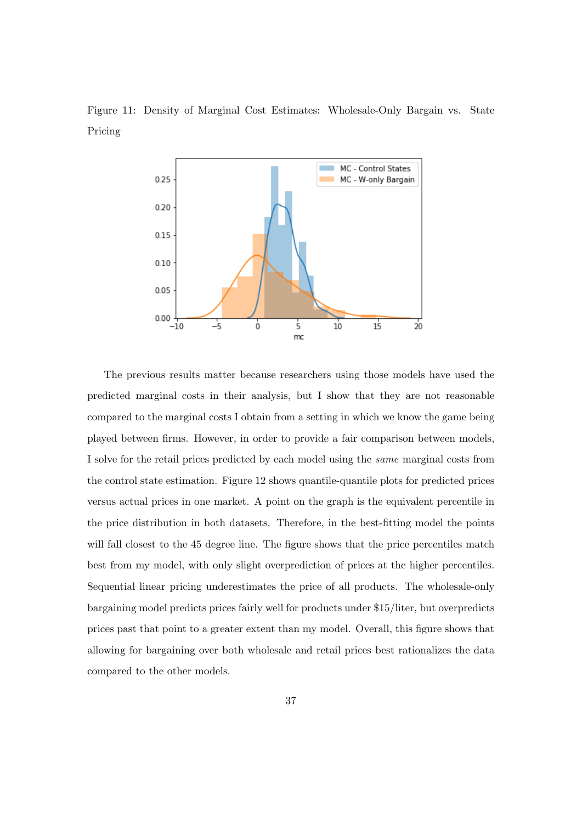Figure 11: Density of Marginal Cost Estimates: Wholesale-Only Bargain vs. State Pricing



The previous results matter because researchers using those models have used the predicted marginal costs in their analysis, but I show that they are not reasonable compared to the marginal costs I obtain from a setting in which we know the game being played between firms. However, in order to provide a fair comparison between models, I solve for the retail prices predicted by each model using the same marginal costs from the control state estimation. Figure 12 shows quantile-quantile plots for predicted prices versus actual prices in one market. A point on the graph is the equivalent percentile in the price distribution in both datasets. Therefore, in the best-fitting model the points will fall closest to the 45 degree line. The figure shows that the price percentiles match best from my model, with only slight overprediction of prices at the higher percentiles. Sequential linear pricing underestimates the price of all products. The wholesale-only bargaining model predicts prices fairly well for products under \$15/liter, but overpredicts prices past that point to a greater extent than my model. Overall, this figure shows that allowing for bargaining over both wholesale and retail prices best rationalizes the data compared to the other models.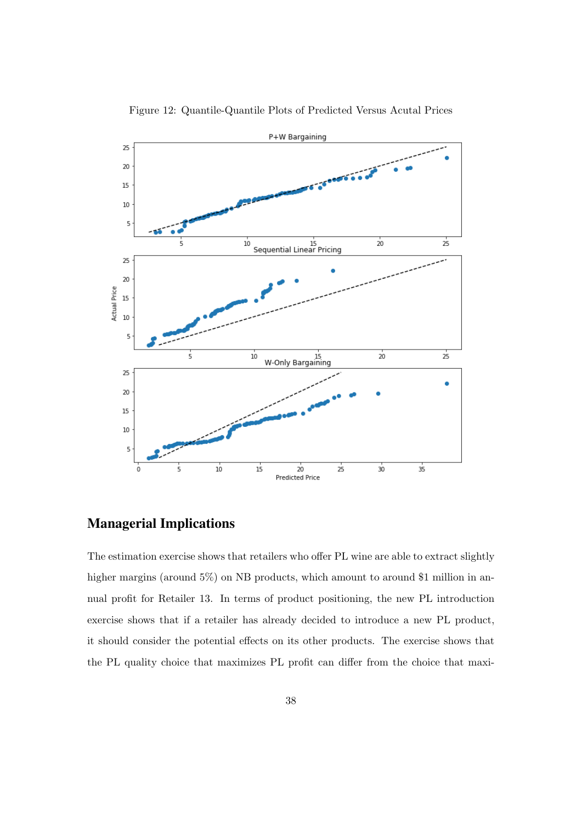

Figure 12: Quantile-Quantile Plots of Predicted Versus Acutal Prices

## Managerial Implications

The estimation exercise shows that retailers who offer PL wine are able to extract slightly higher margins (around 5%) on NB products, which amount to around \$1 million in annual profit for Retailer 13. In terms of product positioning, the new PL introduction exercise shows that if a retailer has already decided to introduce a new PL product, it should consider the potential effects on its other products. The exercise shows that the PL quality choice that maximizes PL profit can differ from the choice that maxi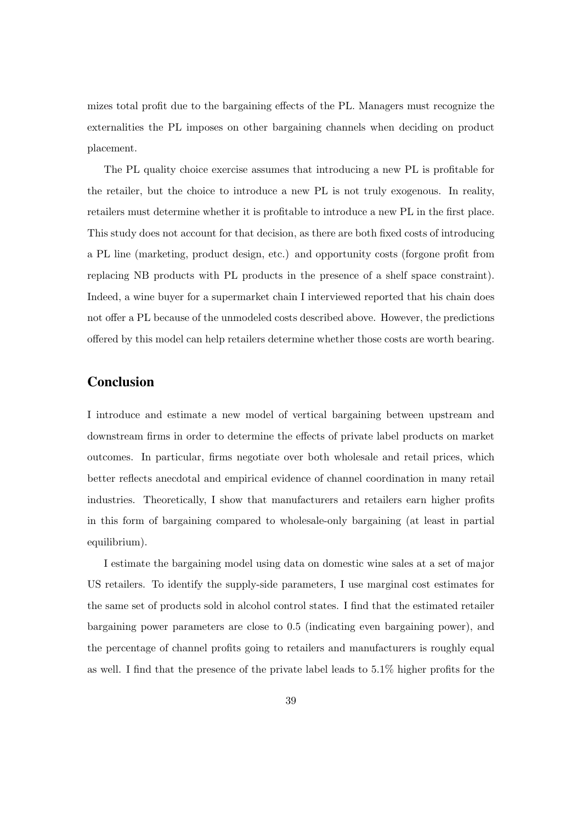mizes total profit due to the bargaining effects of the PL. Managers must recognize the externalities the PL imposes on other bargaining channels when deciding on product placement.

The PL quality choice exercise assumes that introducing a new PL is profitable for the retailer, but the choice to introduce a new PL is not truly exogenous. In reality, retailers must determine whether it is profitable to introduce a new PL in the first place. This study does not account for that decision, as there are both fixed costs of introducing a PL line (marketing, product design, etc.) and opportunity costs (forgone profit from replacing NB products with PL products in the presence of a shelf space constraint). Indeed, a wine buyer for a supermarket chain I interviewed reported that his chain does not offer a PL because of the unmodeled costs described above. However, the predictions offered by this model can help retailers determine whether those costs are worth bearing.

## Conclusion

I introduce and estimate a new model of vertical bargaining between upstream and downstream firms in order to determine the effects of private label products on market outcomes. In particular, firms negotiate over both wholesale and retail prices, which better reflects anecdotal and empirical evidence of channel coordination in many retail industries. Theoretically, I show that manufacturers and retailers earn higher profits in this form of bargaining compared to wholesale-only bargaining (at least in partial equilibrium).

I estimate the bargaining model using data on domestic wine sales at a set of major US retailers. To identify the supply-side parameters, I use marginal cost estimates for the same set of products sold in alcohol control states. I find that the estimated retailer bargaining power parameters are close to 0.5 (indicating even bargaining power), and the percentage of channel profits going to retailers and manufacturers is roughly equal as well. I find that the presence of the private label leads to 5.1% higher profits for the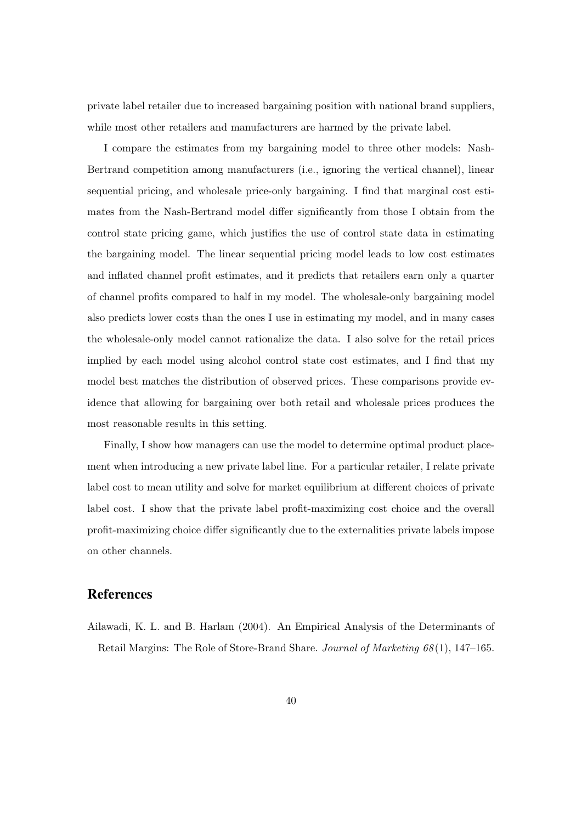private label retailer due to increased bargaining position with national brand suppliers, while most other retailers and manufacturers are harmed by the private label.

I compare the estimates from my bargaining model to three other models: Nash-Bertrand competition among manufacturers (i.e., ignoring the vertical channel), linear sequential pricing, and wholesale price-only bargaining. I find that marginal cost estimates from the Nash-Bertrand model differ significantly from those I obtain from the control state pricing game, which justifies the use of control state data in estimating the bargaining model. The linear sequential pricing model leads to low cost estimates and inflated channel profit estimates, and it predicts that retailers earn only a quarter of channel profits compared to half in my model. The wholesale-only bargaining model also predicts lower costs than the ones I use in estimating my model, and in many cases the wholesale-only model cannot rationalize the data. I also solve for the retail prices implied by each model using alcohol control state cost estimates, and I find that my model best matches the distribution of observed prices. These comparisons provide evidence that allowing for bargaining over both retail and wholesale prices produces the most reasonable results in this setting.

Finally, I show how managers can use the model to determine optimal product placement when introducing a new private label line. For a particular retailer, I relate private label cost to mean utility and solve for market equilibrium at different choices of private label cost. I show that the private label profit-maximizing cost choice and the overall profit-maximizing choice differ significantly due to the externalities private labels impose on other channels.

## References

Ailawadi, K. L. and B. Harlam (2004). An Empirical Analysis of the Determinants of Retail Margins: The Role of Store-Brand Share. Journal of Marketing 68 (1), 147–165.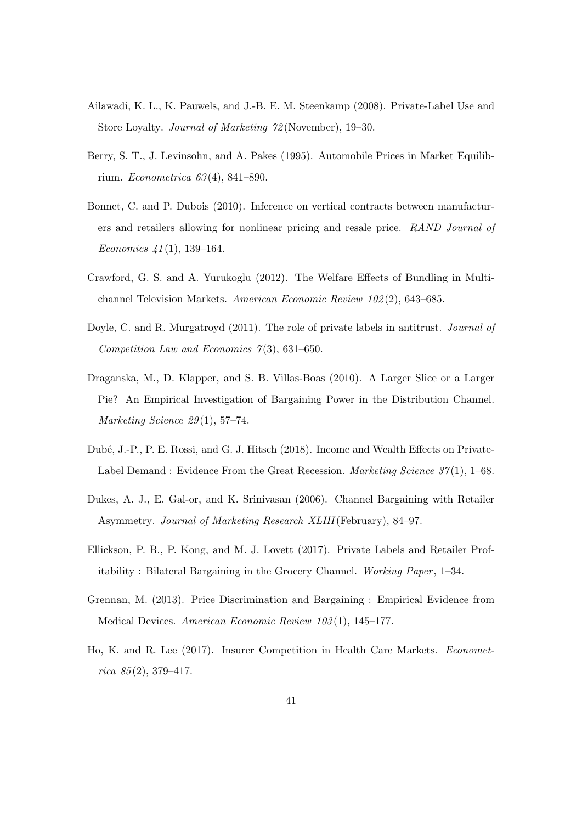- Ailawadi, K. L., K. Pauwels, and J.-B. E. M. Steenkamp (2008). Private-Label Use and Store Loyalty. Journal of Marketing 72 (November), 19–30.
- Berry, S. T., J. Levinsohn, and A. Pakes (1995). Automobile Prices in Market Equilibrium. Econometrica 63 (4), 841–890.
- Bonnet, C. and P. Dubois (2010). Inference on vertical contracts between manufacturers and retailers allowing for nonlinear pricing and resale price. RAND Journal of Economics  $41(1)$ , 139-164.
- Crawford, G. S. and A. Yurukoglu (2012). The Welfare Effects of Bundling in Multichannel Television Markets. American Economic Review 102 (2), 643–685.
- Doyle, C. and R. Murgatroyd (2011). The role of private labels in antitrust. *Journal of* Competition Law and Economics  $\gamma(3)$ , 631–650.
- Draganska, M., D. Klapper, and S. B. Villas-Boas (2010). A Larger Slice or a Larger Pie? An Empirical Investigation of Bargaining Power in the Distribution Channel. Marketing Science 29(1), 57-74.
- Dub´e, J.-P., P. E. Rossi, and G. J. Hitsch (2018). Income and Wealth Effects on Private-Label Demand : Evidence From the Great Recession. Marketing Science  $37(1)$ , 1–68.
- Dukes, A. J., E. Gal-or, and K. Srinivasan (2006). Channel Bargaining with Retailer Asymmetry. Journal of Marketing Research XLIII(February), 84–97.
- Ellickson, P. B., P. Kong, and M. J. Lovett (2017). Private Labels and Retailer Profitability : Bilateral Bargaining in the Grocery Channel. Working Paper , 1–34.
- Grennan, M. (2013). Price Discrimination and Bargaining : Empirical Evidence from Medical Devices. American Economic Review 103 (1), 145–177.
- Ho, K. and R. Lee (2017). Insurer Competition in Health Care Markets. Econometrica  $85(2)$ , 379-417.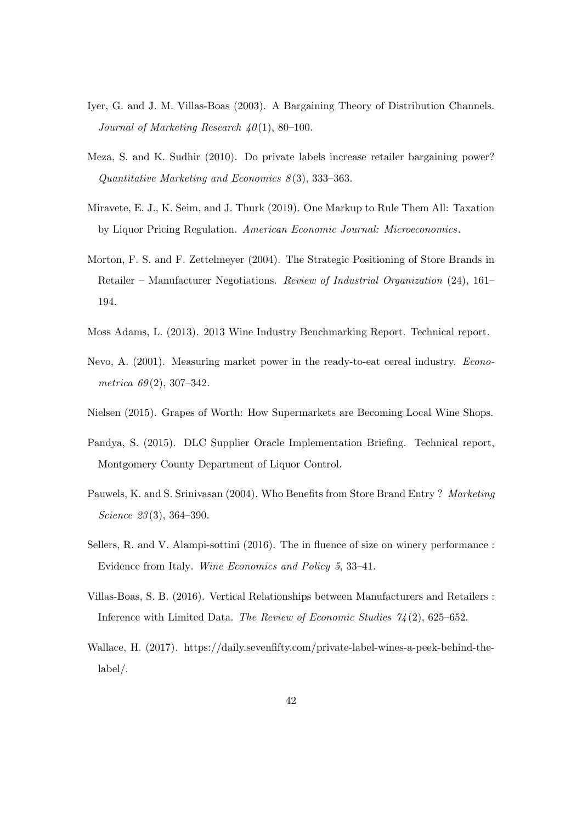- Iyer, G. and J. M. Villas-Boas (2003). A Bargaining Theory of Distribution Channels. Journal of Marketing Research  $40(1)$ , 80-100.
- Meza, S. and K. Sudhir (2010). Do private labels increase retailer bargaining power? Quantitative Marketing and Economics  $8(3)$ , 333–363.
- Miravete, E. J., K. Seim, and J. Thurk (2019). One Markup to Rule Them All: Taxation by Liquor Pricing Regulation. American Economic Journal: Microeconomics.
- Morton, F. S. and F. Zettelmeyer (2004). The Strategic Positioning of Store Brands in Retailer – Manufacturer Negotiations. Review of Industrial Organization (24), 161– 194.
- Moss Adams, L. (2013). 2013 Wine Industry Benchmarking Report. Technical report.
- Nevo, A. (2001). Measuring market power in the ready-to-eat cereal industry. Econometrica  $69(2)$ , 307-342.
- Nielsen (2015). Grapes of Worth: How Supermarkets are Becoming Local Wine Shops.
- Pandya, S. (2015). DLC Supplier Oracle Implementation Briefing. Technical report, Montgomery County Department of Liquor Control.
- Pauwels, K. and S. Srinivasan (2004). Who Benefits from Store Brand Entry ? Marketing Science 23(3), 364–390.
- Sellers, R. and V. Alampi-sottini (2016). The in fluence of size on winery performance : Evidence from Italy. Wine Economics and Policy 5, 33–41.
- Villas-Boas, S. B. (2016). Vertical Relationships between Manufacturers and Retailers : Inference with Limited Data. The Review of Economic Studies 74 (2), 625–652.
- Wallace, H. (2017). https://daily.sevenfifty.com/private-label-wines-a-peek-behind-thelabel/.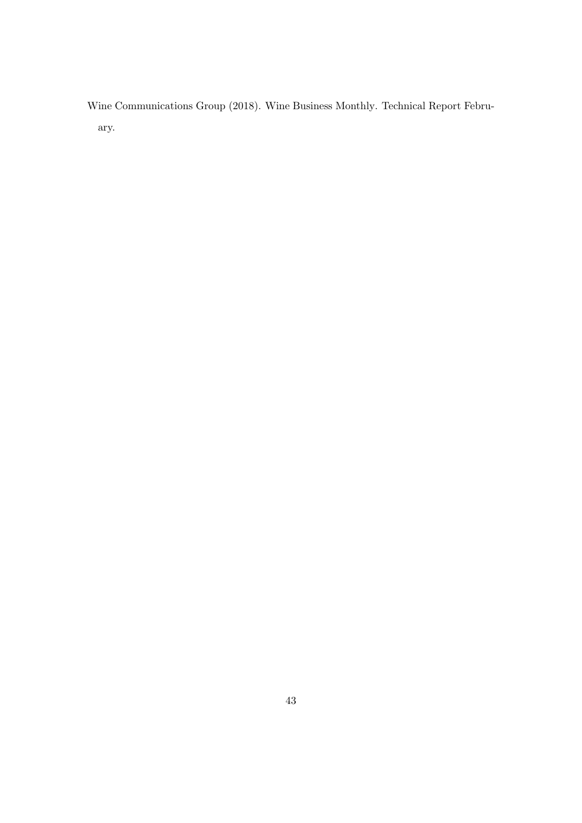Wine Communications Group (2018). Wine Business Monthly. Technical Report February.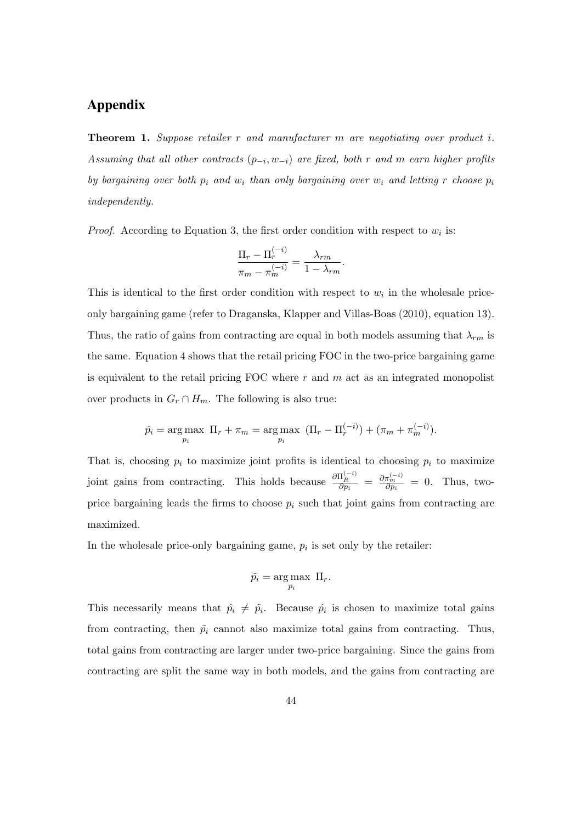## Appendix

Theorem 1. Suppose retailer r and manufacturer m are negotiating over product i. Assuming that all other contracts  $(p_{-i}, w_{-i})$  are fixed, both r and m earn higher profits by bargaining over both  $p_i$  and  $w_i$  than only bargaining over  $w_i$  and letting r choose  $p_i$ independently.

*Proof.* According to Equation 3, the first order condition with respect to  $w_i$  is:

$$
\frac{\Pi_r - \Pi_r^{(-i)}}{\pi_m - \pi_m^{(-i)}} = \frac{\lambda_{rm}}{1 - \lambda_{rm}}.
$$

This is identical to the first order condition with respect to  $w_i$  in the wholesale priceonly bargaining game (refer to Draganska, Klapper and Villas-Boas (2010), equation 13). Thus, the ratio of gains from contracting are equal in both models assuming that  $\lambda_{rm}$  is the same. Equation 4 shows that the retail pricing FOC in the two-price bargaining game is equivalent to the retail pricing FOC where  $r$  and  $m$  act as an integrated monopolist over products in  $G_r \cap H_m$ . The following is also true:

$$
\hat{p}_i = \underset{p_i}{\arg \max} \ \Pi_r + \pi_m = \underset{p_i}{\arg \max} \ \left( \Pi_r - \Pi_r^{(-i)} \right) + \left( \pi_m + \pi_m^{(-i)} \right).
$$

That is, choosing  $p_i$  to maximize joint profits is identical to choosing  $p_i$  to maximize joint gains from contracting. This holds because  $\frac{\partial \Pi_R^{(-i)}}{\partial p_i} = \frac{\partial \pi_m^{(-i)}}{\partial p_i} = 0$ . Thus, twoprice bargaining leads the firms to choose  $p_i$  such that joint gains from contracting are maximized.

In the wholesale price-only bargaining game,  $p_i$  is set only by the retailer:

$$
\tilde{p_i} = \underset{p_i}{\arg \max} \Pi_r.
$$

This necessarily means that  $\hat{p}_i \neq \tilde{p}_i$ . Because  $\hat{p}_i$  is chosen to maximize total gains from contracting, then  $\tilde{p}_i$  cannot also maximize total gains from contracting. Thus, total gains from contracting are larger under two-price bargaining. Since the gains from contracting are split the same way in both models, and the gains from contracting are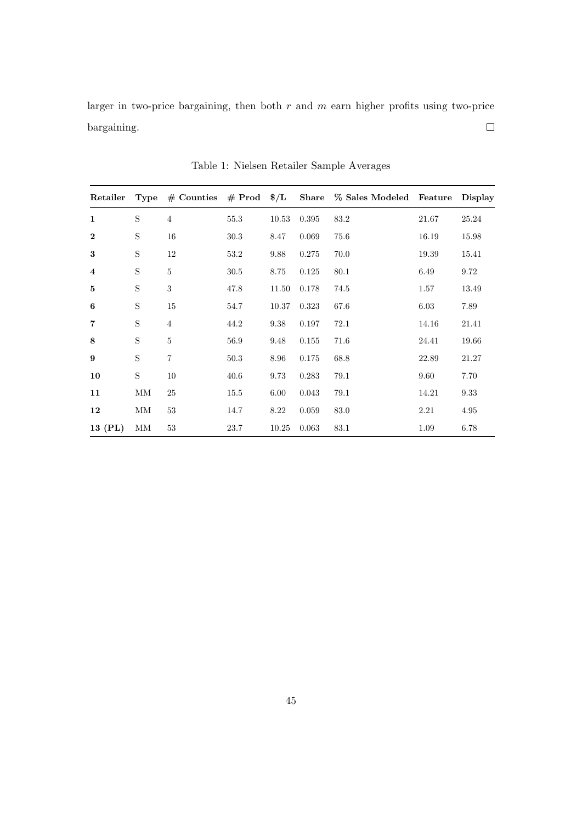larger in two-price bargaining, then both  $r$  and  $m$  earn higher profits using two-price  $\Box$ bargaining.

|                         |             |                |      |       |       | Retailer Type # Counties # Prod $\frac{1}{2}$ Share % Sales Modeled Feature Display |       |       |
|-------------------------|-------------|----------------|------|-------|-------|-------------------------------------------------------------------------------------|-------|-------|
| $\mathbf{1}$            | S           | $\overline{4}$ | 55.3 | 10.53 | 0.395 | 83.2                                                                                | 21.67 | 25.24 |
| $\mathbf{2}$            | S           | 16             | 30.3 | 8.47  | 0.069 | 75.6                                                                                | 16.19 | 15.98 |
| 3                       | S           | 12             | 53.2 | 9.88  | 0.275 | 70.0                                                                                | 19.39 | 15.41 |
| $\overline{\mathbf{4}}$ | S           | $\bf 5$        | 30.5 | 8.75  | 0.125 | 80.1                                                                                | 6.49  | 9.72  |
| 5                       | S           | $\sqrt{3}$     | 47.8 | 11.50 | 0.178 | 74.5                                                                                | 1.57  | 13.49 |
| 6                       | S           | 15             | 54.7 | 10.37 | 0.323 | 67.6                                                                                | 6.03  | 7.89  |
| $\overline{7}$          | S           | $\overline{4}$ | 44.2 | 9.38  | 0.197 | 72.1                                                                                | 14.16 | 21.41 |
| 8                       | S           | $\overline{5}$ | 56.9 | 9.48  | 0.155 | 71.6                                                                                | 24.41 | 19.66 |
| 9                       | S           | $\overline{7}$ | 50.3 | 8.96  | 0.175 | 68.8                                                                                | 22.89 | 21.27 |
| 10                      | $\mathbf S$ | 10             | 40.6 | 9.73  | 0.283 | 79.1                                                                                | 9.60  | 7.70  |
| 11                      | MМ          | 25             | 15.5 | 6.00  | 0.043 | 79.1                                                                                | 14.21 | 9.33  |
| 12                      | МM          | $53\,$         | 14.7 | 8.22  | 0.059 | 83.0                                                                                | 2.21  | 4.95  |
| 13 (PL)                 | MМ          | 53             | 23.7 | 10.25 | 0.063 | 83.1                                                                                | 1.09  | 6.78  |

Table 1: Nielsen Retailer Sample Averages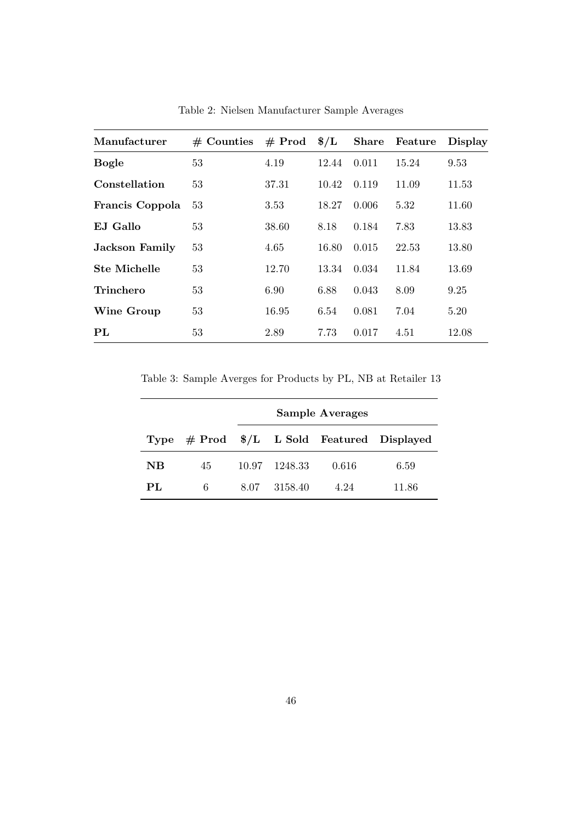| Manufacturer          | $#$ Counties | $#$ Prod | $\frac{1}{2}$ | <b>Share</b> | Feature | <b>Display</b> |
|-----------------------|--------------|----------|---------------|--------------|---------|----------------|
| <b>Bogle</b>          | 53           | 4.19     | 12.44         | 0.011        | 15.24   | 9.53           |
| Constellation         | 53           | 37.31    | 10.42         | 0.119        | 11.09   | 11.53          |
| Francis Coppola       | 53           | 3.53     | 18.27         | 0.006        | 5.32    | 11.60          |
| E.I Gallo             | 53           | 38.60    | 8.18          | 0.184        | 7.83    | 13.83          |
| <b>Jackson Family</b> | 53           | 4.65     | 16.80         | 0.015        | 22.53   | 13.80          |
| <b>Ste Michelle</b>   | 53           | 12.70    | 13.34         | 0.034        | 11.84   | 13.69          |
| <b>Trinchero</b>      | 53           | 6.90     | 6.88          | 0.043        | 8.09    | 9.25           |
| Wine Group            | 53           | 16.95    | 6.54          | 0.081        | 7.04    | 5.20           |
| PL                    | 53           | 2.89     | 7.73          | 0.017        | 4.51    | 12.08          |

Table 2: Nielsen Manufacturer Sample Averages

Table 3: Sample Averges for Products by PL, NB at Retailer 13

|           |    | <b>Sample Averages</b> |         |       |                                               |  |  |
|-----------|----|------------------------|---------|-------|-----------------------------------------------|--|--|
|           |    |                        |         |       | Type $#$ Prod $*/L$ L Sold Featured Displayed |  |  |
| <b>NB</b> | 45 | 10.97                  | 1248.33 | 0.616 | 6.59                                          |  |  |
| PL        | 6  | 8.07                   | 3158.40 | 4.24  | 11.86                                         |  |  |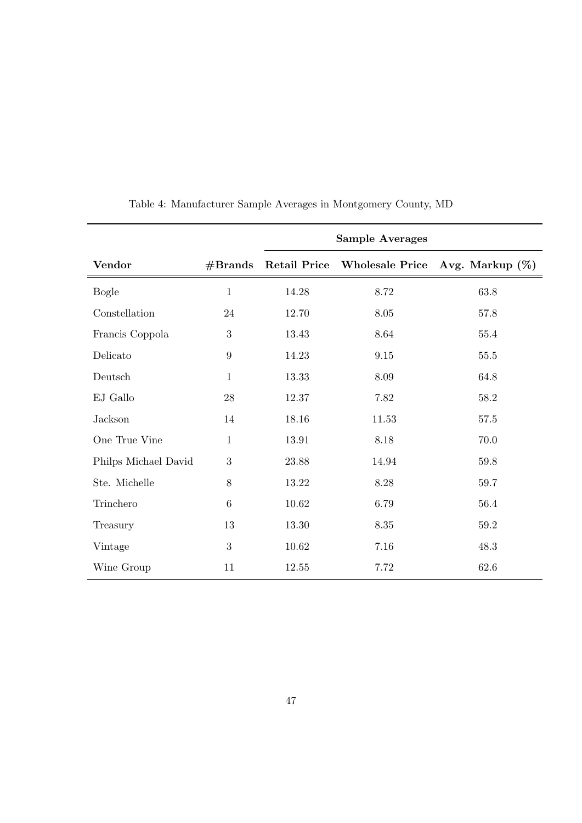|                      |              | <b>Sample Averages</b> |                        |                    |  |  |  |
|----------------------|--------------|------------------------|------------------------|--------------------|--|--|--|
| <b>Vendor</b>        | #Brands      | <b>Retail Price</b>    | <b>Wholesale Price</b> | Avg. Markup $(\%)$ |  |  |  |
| <b>Bogle</b>         | $\mathbf{1}$ | 14.28                  | 8.72                   | 63.8               |  |  |  |
| Constellation        | 24           | 12.70                  | 8.05                   | 57.8               |  |  |  |
| Francis Coppola      | 3            | 13.43                  | 8.64                   | 55.4               |  |  |  |
| Delicato             | 9            | 14.23                  | 9.15                   | 55.5               |  |  |  |
| Deutsch              | $\mathbf{1}$ | 13.33                  | 8.09                   | 64.8               |  |  |  |
| EJ Gallo             | 28           | 12.37                  | 7.82                   | 58.2               |  |  |  |
| <b>Jackson</b>       | 14           | 18.16                  | 11.53                  | 57.5               |  |  |  |
| One True Vine        | $\mathbf{1}$ | 13.91                  | 8.18                   | 70.0               |  |  |  |
| Philps Michael David | $\sqrt{3}$   | 23.88                  | 14.94                  | 59.8               |  |  |  |
| Ste. Michelle        | 8            | 13.22                  | $8.28\,$               | 59.7               |  |  |  |
| Trinchero            | 6            | 10.62                  | 6.79                   | 56.4               |  |  |  |
| Treasury             | 13           | 13.30                  | 8.35                   | $59.2\,$           |  |  |  |
| Vintage              | 3            | 10.62                  | 7.16                   | 48.3               |  |  |  |
| Wine Group           | 11           | 12.55                  | 7.72                   | $62.6\,$           |  |  |  |

Table 4: Manufacturer Sample Averages in Montgomery County, MD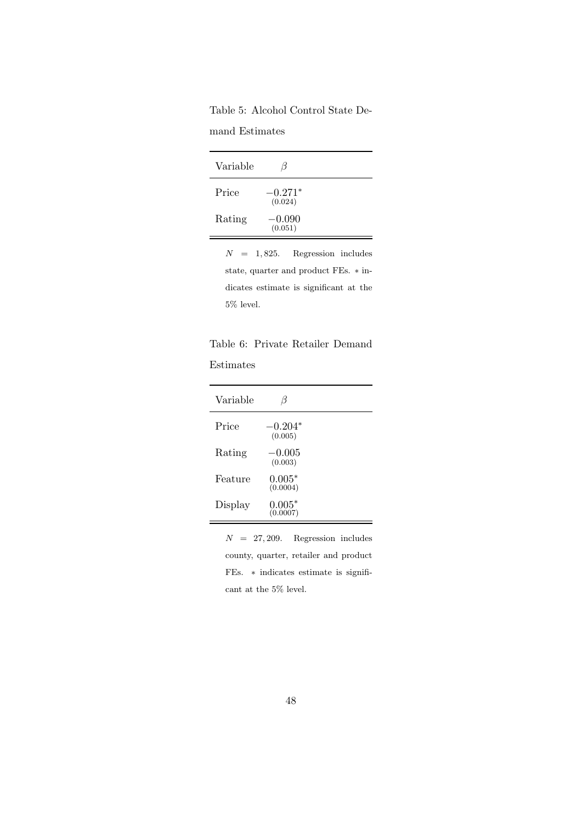Table 5: Alcohol Control State De-

mand Estimates

| Variable |                      |  |
|----------|----------------------|--|
| Price    | $-0.271*$<br>(0.024) |  |
| Rating   | $-0.090$<br>(0.051)  |  |

 $N = 1,825$ . Regression includes state, quarter and product FEs. ∗ indicates estimate is significant at the  $5\%$  level.

|  |  | Table 6: Private Retailer Demand |
|--|--|----------------------------------|
|  |  |                                  |

### Estimates

| Variable |                      |  |
|----------|----------------------|--|
| Price    | $-0.204*$<br>(0.005) |  |
| Rating   | $-0.005$<br>(0.003)  |  |
| Feature  | $0.005*$<br>(0.0004) |  |
| Display  | $0.005*$<br>(0.0007) |  |
|          |                      |  |

 $N = 27,209$ . Regression includes county, quarter, retailer and product FEs. ∗ indicates estimate is significant at the 5% level.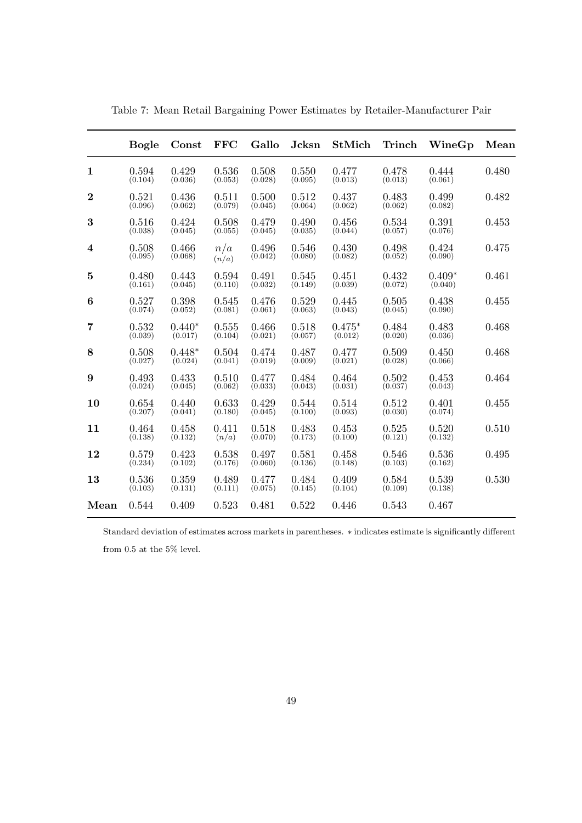|                  | <b>Bogle</b>     | Const               | <b>FFC</b>       | Gallo            | Jcksn            | <b>StMich</b>       | Trinch           | WineGp              | Mean  |
|------------------|------------------|---------------------|------------------|------------------|------------------|---------------------|------------------|---------------------|-------|
| $\mathbf{1}$     | 0.594<br>(0.104) | 0.429<br>(0.036)    | 0.536<br>(0.053) | 0.508<br>(0.028) | 0.550<br>(0.095) | 0.477<br>(0.013)    | 0.478<br>(0.013) | 0.444<br>(0.061)    | 0.480 |
| $\boldsymbol{2}$ | 0.521<br>(0.096) | 0.436<br>(0.062)    | 0.511<br>(0.079) | 0.500<br>(0.045) | 0.512<br>(0.064) | 0.437<br>(0.062)    | 0.483<br>(0.062) | 0.499<br>(0.082)    | 0.482 |
| $\bf{3}$         | 0.516<br>(0.038) | 0.424<br>(0.045)    | 0.508<br>(0.055) | 0.479<br>(0.045) | 0.490<br>(0.035) | 0.456<br>(0.044)    | 0.534<br>(0.057) | 0.391<br>(0.076)    | 0.453 |
| $\bf{4}$         | 0.508<br>(0.095) | 0.466<br>(0.068)    | n/a<br>(n/a)     | 0.496<br>(0.042) | 0.546<br>(0.080) | 0.430<br>(0.082)    | 0.498<br>(0.052) | 0.424<br>(0.090)    | 0.475 |
| $\bf{5}$         | 0.480<br>(0.161) | 0.443<br>(0.045)    | 0.594<br>(0.110) | 0.491<br>(0.032) | 0.545<br>(0.149) | 0.451<br>(0.039)    | 0.432<br>(0.072) | $0.409*$<br>(0.040) | 0.461 |
| 6                | 0.527<br>(0.074) | 0.398<br>(0.052)    | 0.545<br>(0.081) | 0.476<br>(0.061) | 0.529<br>(0.063) | 0.445<br>(0.043)    | 0.505<br>(0.045) | 0.438<br>(0.090)    | 0.455 |
| $\overline{7}$   | 0.532<br>(0.039) | $0.440*$<br>(0.017) | 0.555<br>(0.104) | 0.466<br>(0.021) | 0.518<br>(0.057) | $0.475*$<br>(0.012) | 0.484<br>(0.020) | 0.483<br>(0.036)    | 0.468 |
| 8                | 0.508<br>(0.027) | $0.448*$<br>(0.024) | 0.504<br>(0.041) | 0.474<br>(0.019) | 0.487<br>(0.009) | 0.477<br>(0.021)    | 0.509<br>(0.028) | 0.450<br>(0.066)    | 0.468 |
| $9\phantom{.}$   | 0.493<br>(0.024) | 0.433<br>(0.045)    | 0.510<br>(0.062) | 0.477<br>(0.033) | 0.484<br>(0.043) | 0.464<br>(0.031)    | 0.502<br>(0.037) | 0.453<br>(0.043)    | 0.464 |
| 10               | 0.654<br>(0.207) | 0.440<br>(0.041)    | 0.633<br>(0.180) | 0.429<br>(0.045) | 0.544<br>(0.100) | 0.514<br>(0.093)    | 0.512<br>(0.030) | 0.401<br>(0.074)    | 0.455 |
| 11               | 0.464<br>(0.138) | 0.458<br>(0.132)    | 0.411<br>(n/a)   | 0.518<br>(0.070) | 0.483<br>(0.173) | 0.453<br>(0.100)    | 0.525<br>(0.121) | 0.520<br>(0.132)    | 0.510 |
| 12               | 0.579<br>(0.234) | 0.423<br>(0.102)    | 0.538<br>(0.176) | 0.497<br>(0.060) | 0.581<br>(0.136) | 0.458<br>(0.148)    | 0.546<br>(0.103) | 0.536<br>(0.162)    | 0.495 |
| 13               | 0.536<br>(0.103) | 0.359<br>(0.131)    | 0.489<br>(0.111) | 0.477<br>(0.075) | 0.484<br>(0.145) | 0.409<br>(0.104)    | 0.584<br>(0.109) | 0.539<br>(0.138)    | 0.530 |
| Mean             | 0.544            | 0.409               | 0.523            | 0.481            | 0.522            | 0.446               | 0.543            | 0.467               |       |

Table 7: Mean Retail Bargaining Power Estimates by Retailer-Manufacturer Pair

Standard deviation of estimates across markets in parentheses. ∗ indicates estimate is significantly different from  $0.5$  at the  $5\%$  level.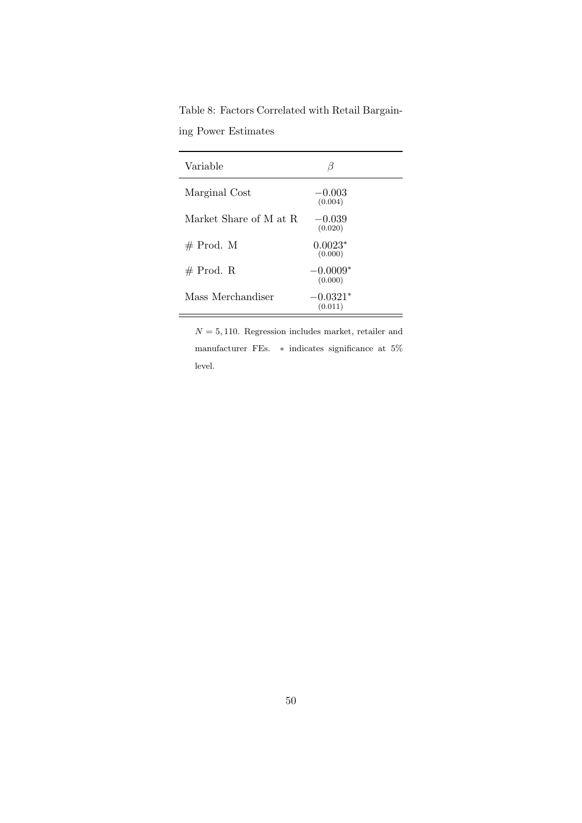Table 8: Factors Correlated with Retail Bargain-

ing Power Estimates

| Variable               | ß                     |
|------------------------|-----------------------|
| Marginal Cost          | $-0.003$<br>(0.004)   |
| Market Share of M at R | $-0.039$<br>(0.020)   |
| $#$ Prod. M            | $0.0023*$<br>(0.000)  |
| $#$ Prod. R            | $-0.0009*$<br>(0.000) |
| Mass Merchandiser      | $-0.0321*$<br>(0.011) |

 $N = 5, 110$ . Regression includes market, retailer and manufacturer FEs.  $\ast$  indicates significance at 5% level.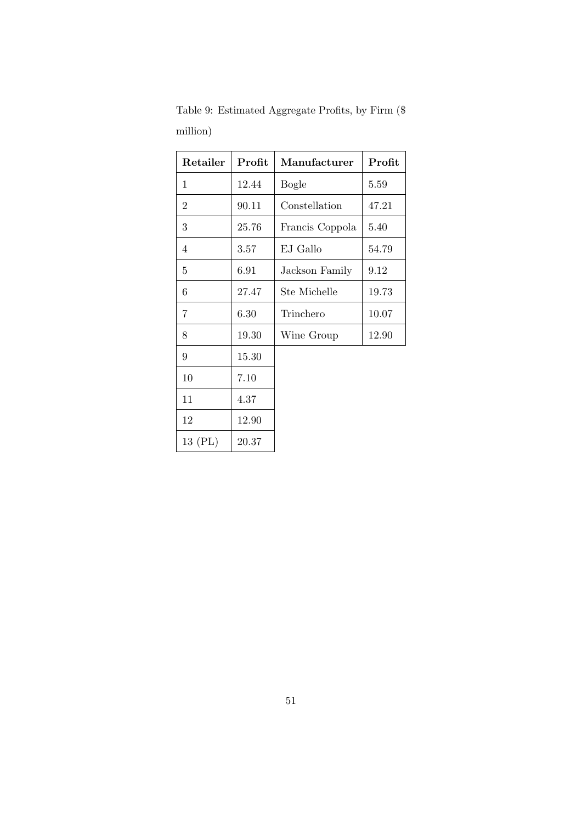| Retailer       | Profit | $\rm{M}$ anufacturer | Profit |
|----------------|--------|----------------------|--------|
| 1              | 12.44  | <b>Bogle</b>         | 5.59   |
| $\overline{2}$ | 90.11  | Constellation        | 47.21  |
| 3              | 25.76  | Francis Coppola      | 5.40   |
| 4              | 3.57   | EJ Gallo             | 54.79  |
| 5              | 6.91   | Jackson Family       | 9.12   |
| 6              | 27.47  | Ste Michelle         | 19.73  |
| 7              | 6.30   | Trinchero            | 10.07  |
| 8              | 19.30  | Wine Group           | 12.90  |
| 9              | 15.30  |                      |        |
| 10             | 7.10   |                      |        |
| 11             | 4.37   |                      |        |
| 12             | 12.90  |                      |        |
| 13 (PL)        | 20.37  |                      |        |

Table 9: Estimated Aggregate Profits, by Firm (\$ million)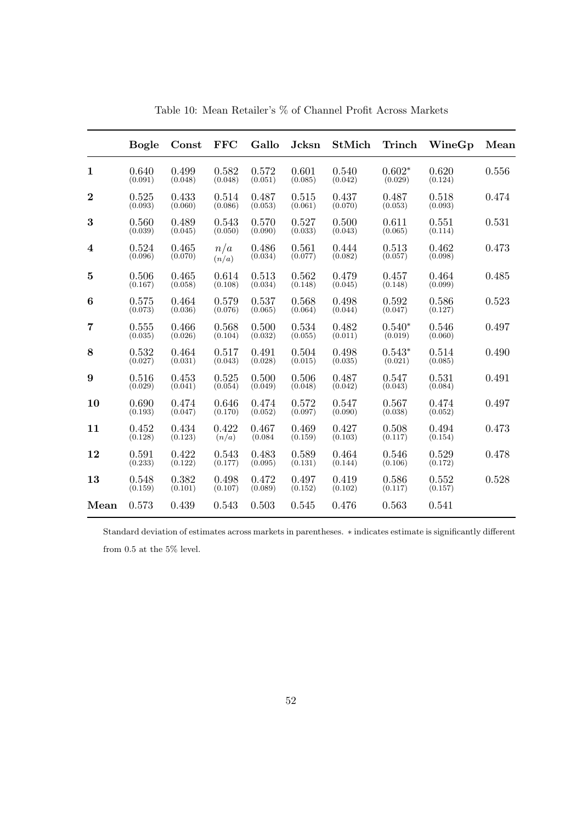|                  | <b>Bogle</b>     | Const            | <b>FFC</b>       | Gallo            | Jcksn            | StMich           | Trinch              | WineGp           | Mean  |
|------------------|------------------|------------------|------------------|------------------|------------------|------------------|---------------------|------------------|-------|
| $\mathbf{1}$     | 0.640<br>(0.091) | 0.499<br>(0.048) | 0.582<br>(0.048) | 0.572<br>(0.051) | 0.601<br>(0.085) | 0.540<br>(0.042) | $0.602*$<br>(0.029) | 0.620<br>(0.124) | 0.556 |
| $\boldsymbol{2}$ | 0.525<br>(0.093) | 0.433<br>(0.060) | 0.514<br>(0.086) | 0.487<br>(0.053) | 0.515<br>(0.061) | 0.437<br>(0.070) | 0.487<br>(0.053)    | 0.518<br>(0.093) | 0.474 |
| $\bf{3}$         | 0.560<br>(0.039) | 0.489<br>(0.045) | 0.543<br>(0.050) | 0.570<br>(0.090) | 0.527<br>(0.033) | 0.500<br>(0.043) | 0.611<br>(0.065)    | 0.551<br>(0.114) | 0.531 |
| $\bf{4}$         | 0.524<br>(0.096) | 0.465<br>(0.070) | n/a<br>(n/a)     | 0.486<br>(0.034) | 0.561<br>(0.077) | 0.444<br>(0.082) | 0.513<br>(0.057)    | 0.462<br>(0.098) | 0.473 |
| $\bf{5}$         | 0.506<br>(0.167) | 0.465<br>(0.058) | 0.614<br>(0.108) | 0.513<br>(0.034) | 0.562<br>(0.148) | 0.479<br>(0.045) | 0.457<br>(0.148)    | 0.464<br>(0.099) | 0.485 |
| 6                | 0.575<br>(0.073) | 0.464<br>(0.036) | 0.579<br>(0.076) | 0.537<br>(0.065) | 0.568<br>(0.064) | 0.498<br>(0.044) | 0.592<br>(0.047)    | 0.586<br>(0.127) | 0.523 |
| $\overline{7}$   | 0.555<br>(0.035) | 0.466<br>(0.026) | 0.568<br>(0.104) | 0.500<br>(0.032) | 0.534<br>(0.055) | 0.482<br>(0.011) | $0.540*$<br>(0.019) | 0.546<br>(0.060) | 0.497 |
| 8                | 0.532<br>(0.027) | 0.464<br>(0.031) | 0.517<br>(0.043) | 0.491<br>(0.028) | 0.504<br>(0.015) | 0.498<br>(0.035) | $0.543*$<br>(0.021) | 0.514<br>(0.085) | 0.490 |
| $\boldsymbol{9}$ | 0.516<br>(0.029) | 0.453<br>(0.041) | 0.525<br>(0.054) | 0.500<br>(0.049) | 0.506<br>(0.048) | 0.487<br>(0.042) | 0.547<br>(0.043)    | 0.531<br>(0.084) | 0.491 |
| 10               | 0.690<br>(0.193) | 0.474<br>(0.047) | 0.646<br>(0.170) | 0.474<br>(0.052) | 0.572<br>(0.097) | 0.547<br>(0.090) | 0.567<br>(0.038)    | 0.474<br>(0.052) | 0.497 |
| 11               | 0.452<br>(0.128) | 0.434<br>(0.123) | 0.422<br>(n/a)   | 0.467<br>(0.084) | 0.469<br>(0.159) | 0.427<br>(0.103) | 0.508<br>(0.117)    | 0.494<br>(0.154) | 0.473 |
| 12               | 0.591<br>(0.233) | 0.422<br>(0.122) | 0.543<br>(0.177) | 0.483<br>(0.095) | 0.589<br>(0.131) | 0.464<br>(0.144) | 0.546<br>(0.106)    | 0.529<br>(0.172) | 0.478 |
| 13               | 0.548<br>(0.159) | 0.382<br>(0.101) | 0.498<br>(0.107) | 0.472<br>(0.089) | 0.497<br>(0.152) | 0.419<br>(0.102) | 0.586<br>(0.117)    | 0.552<br>(0.157) | 0.528 |
| Mean             | 0.573            | 0.439            | 0.543            | 0.503            | 0.545            | 0.476            | 0.563               | 0.541            |       |

Table 10: Mean Retailer's % of Channel Profit Across Markets

Standard deviation of estimates across markets in parentheses. ∗ indicates estimate is significantly different from  $0.5$  at the  $5\%$  level.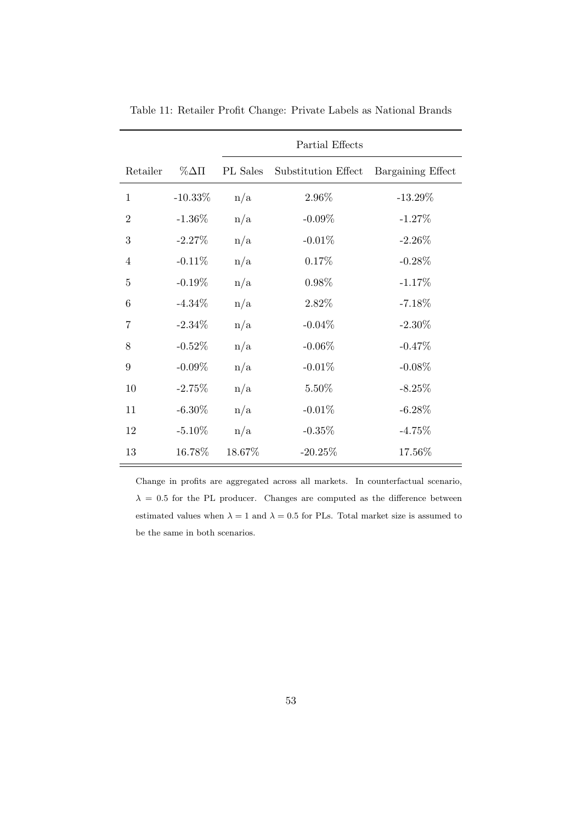|                |                | Partial Effects |                     |                   |  |  |  |  |
|----------------|----------------|-----------------|---------------------|-------------------|--|--|--|--|
| Retailer       | $\%\Delta \Pi$ | PL Sales        | Substitution Effect | Bargaining Effect |  |  |  |  |
| $\mathbf{1}$   | $-10.33\%$     | n/a             | 2.96%               | $-13.29\%$        |  |  |  |  |
| $\overline{2}$ | $-1.36\%$      | n/a             | $-0.09\%$           | $-1.27\%$         |  |  |  |  |
| 3              | $-2.27%$       | n/a             | $-0.01%$            | $-2.26\%$         |  |  |  |  |
| $\overline{4}$ | $-0.11%$       | n/a             | 0.17%               | $-0.28%$          |  |  |  |  |
| $\overline{5}$ | $-0.19\%$      | n/a             | $0.98\%$            | $-1.17%$          |  |  |  |  |
| 6              | $-4.34\%$      | n/a             | 2.82%               | $-7.18\%$         |  |  |  |  |
| 7              | $-2.34\%$      | n/a             | $-0.04%$            | $-2.30\%$         |  |  |  |  |
| 8              | $-0.52%$       | n/a             | $-0.06%$            | $-0.47%$          |  |  |  |  |
| 9              | $-0.09\%$      | n/a             | $-0.01%$            | $-0.08\%$         |  |  |  |  |
| 10             | $-2.75%$       | n/a             | 5.50%               | $-8.25%$          |  |  |  |  |
| 11             | $-6.30\%$      | n/a             | $-0.01%$            | $-6.28\%$         |  |  |  |  |
| 12             | $-5.10\%$      | n/a             | $-0.35%$            | $-4.75%$          |  |  |  |  |
| 13             | 16.78%         | 18.67%          | $-20.25%$           | 17.56%            |  |  |  |  |

Table 11: Retailer Profit Change: Private Labels as National Brands

Change in profits are aggregated across all markets. In counterfactual scenario,  $\lambda = 0.5$  for the PL producer. Changes are computed as the difference between estimated values when  $\lambda = 1$  and  $\lambda = 0.5$  for PLs. Total market size is assumed to be the same in both scenarios.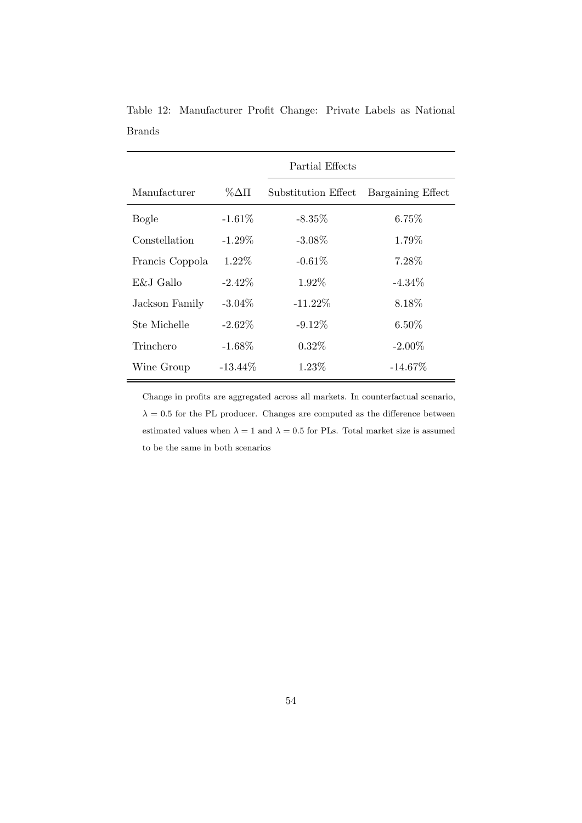|                 |               | Partial Effects     |                   |
|-----------------|---------------|---------------------|-------------------|
| Manufacturer    | $\%\Delta\Pi$ | Substitution Effect | Bargaining Effect |
| Bogle           | $-1.61\%$     | $-8.35\%$           | 6.75%             |
| Constellation   | $-1.29\%$     | $-3.08\%$           | 1.79%             |
| Francis Coppola | 1.22%         | $-0.61\%$           | 7.28%             |
| E&J Gallo       | $-2.42\%$     | $1.92\%$            | $-4.34\%$         |
| Jackson Family  | $-3.04\%$     | $-11.22\%$          | 8.18%             |
| Ste Michelle    | $-2.62\%$     | $-9.12\%$           | $6.50\%$          |
| Trinchero       | $-1.68\%$     | $0.32\%$            | $-2.00\%$         |
| Wine Group      | $-13.44\%$    | $1.23\%$            | $-14.67\%$        |

Table 12: Manufacturer Profit Change: Private Labels as National Brands

Change in profits are aggregated across all markets. In counterfactual scenario,  $\lambda = 0.5$  for the PL producer. Changes are computed as the difference between estimated values when  $\lambda = 1$  and  $\lambda = 0.5$  for PLs. Total market size is assumed to be the same in both scenarios